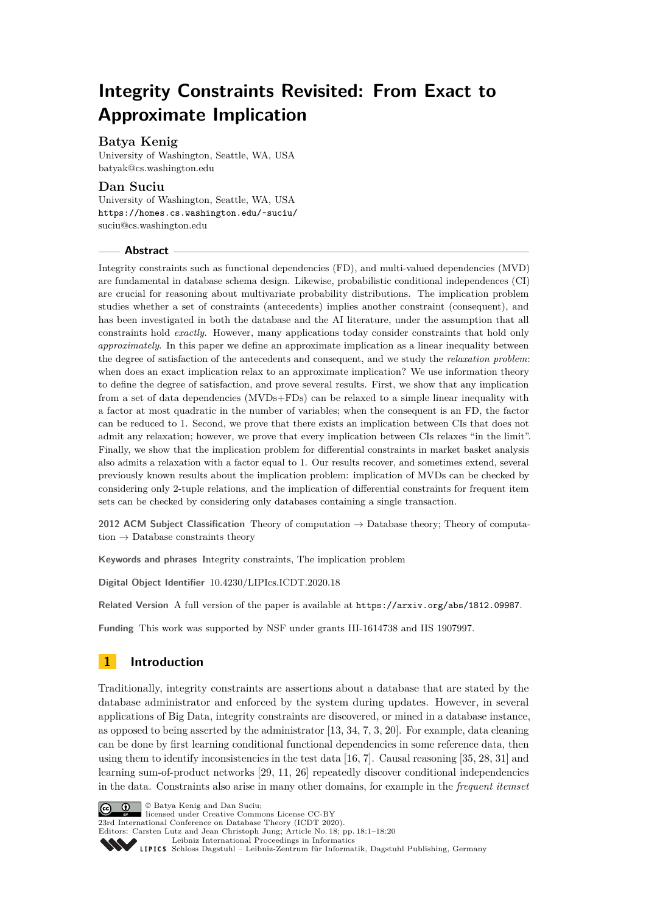# **Integrity Constraints Revisited: From Exact to Approximate Implication**

# **Batya Kenig**

University of Washington, Seattle, WA, USA [batyak@cs.washington.edu](mailto:batyak@cs.washington.edu)

# **Dan Suciu**

University of Washington, Seattle, WA, USA <https://homes.cs.washington.edu/~suciu/> [suciu@cs.washington.edu](mailto:suciu@cs.washington.edu)

#### **Abstract**

Integrity constraints such as functional dependencies (FD), and multi-valued dependencies (MVD) are fundamental in database schema design. Likewise, probabilistic conditional independences (CI) are crucial for reasoning about multivariate probability distributions. The implication problem studies whether a set of constraints (antecedents) implies another constraint (consequent), and has been investigated in both the database and the AI literature, under the assumption that all constraints hold *exactly*. However, many applications today consider constraints that hold only *approximately*. In this paper we define an approximate implication as a linear inequality between the degree of satisfaction of the antecedents and consequent, and we study the *relaxation problem*: when does an exact implication relax to an approximate implication? We use information theory to define the degree of satisfaction, and prove several results. First, we show that any implication from a set of data dependencies (MVDs+FDs) can be relaxed to a simple linear inequality with a factor at most quadratic in the number of variables; when the consequent is an FD, the factor can be reduced to 1. Second, we prove that there exists an implication between CIs that does not admit any relaxation; however, we prove that every implication between CIs relaxes "in the limit". Finally, we show that the implication problem for differential constraints in market basket analysis also admits a relaxation with a factor equal to 1. Our results recover, and sometimes extend, several previously known results about the implication problem: implication of MVDs can be checked by considering only 2-tuple relations, and the implication of differential constraints for frequent item sets can be checked by considering only databases containing a single transaction.

**2012 ACM Subject Classification** Theory of computation → Database theory; Theory of computation  $\rightarrow$  Database constraints theory

**Keywords and phrases** Integrity constraints, The implication problem

**Digital Object Identifier** [10.4230/LIPIcs.ICDT.2020.18](https://doi.org/10.4230/LIPIcs.ICDT.2020.18)

**Related Version** A full version of the paper is available at <https://arxiv.org/abs/1812.09987>.

**Funding** This work was supported by NSF under grants III-1614738 and IIS 1907997.

# **1 Introduction**

Traditionally, integrity constraints are assertions about a database that are stated by the database administrator and enforced by the system during updates. However, in several applications of Big Data, integrity constraints are discovered, or mined in a database instance, as opposed to being asserted by the administrator [\[13,](#page-15-0) [34,](#page-17-0) [7,](#page-15-1) [3,](#page-15-2) [20\]](#page-16-0). For example, data cleaning can be done by first learning conditional functional dependencies in some reference data, then using them to identify inconsistencies in the test data [\[16,](#page-16-1) [7\]](#page-15-1). Causal reasoning [\[35,](#page-17-1) [28,](#page-16-2) [31\]](#page-16-3) and learning sum-of-product networks [\[29,](#page-16-4) [11,](#page-15-3) [26\]](#page-16-5) repeatedly discover conditional independencies in the data. Constraints also arise in many other domains, for example in the *frequent itemset*

© Batya Kenig and Dan Suciu;  $\boxed{6}$  0 licensed under Creative Commons License CC-BY 23rd International Conference on Database Theory (ICDT 2020). Editors: Carsten Lutz and Jean Christoph Jung; Article No. 18; pp. 18:1–18[:20](#page-19-0) [Leibniz International Proceedings in Informatics](https://www.dagstuhl.de/lipics/) [Schloss Dagstuhl – Leibniz-Zentrum für Informatik, Dagstuhl Publishing, Germany](https://www.dagstuhl.de)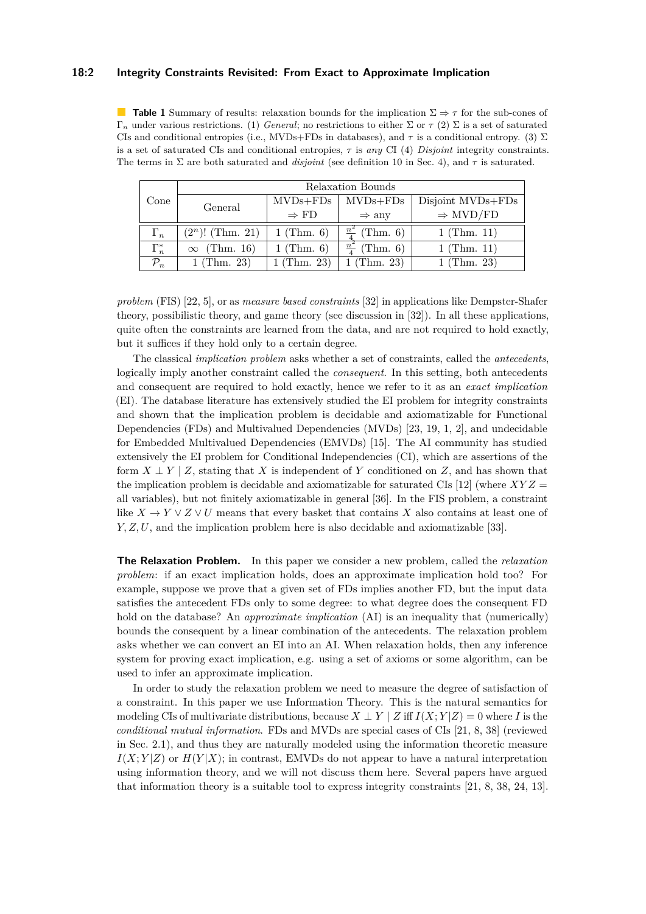### **18:2 Integrity Constraints Revisited: From Exact to Approximate Implication**

<span id="page-1-0"></span>**Table 1** Summary of results: relaxation bounds for the implication  $\Sigma \Rightarrow \tau$  for the sub-cones of Γ*<sup>n</sup>* under various restrictions. (1) *General*; no restrictions to either Σ or *τ* (2) Σ is a set of saturated CIs and conditional entropies (i.e., MVDs+FDs in databases), and  $\tau$  is a conditional entropy. (3)  $\Sigma$ is a set of saturated CIs and conditional entropies, *τ* is *any* CI (4) *Disjoint* integrity constraints. The terms in  $\Sigma$  are both saturated and *disjoint* (see definition [10](#page-7-0) in Sec. [4\)](#page-6-0), and  $\tau$  is saturated.

| Cone            | Relaxation Bounds     |                  |                             |                      |
|-----------------|-----------------------|------------------|-----------------------------|----------------------|
|                 | General               | $MVDs + FDs$     | $MVDs + FDs$                | Disjoint MVDs+FDs    |
|                 |                       | $\Rightarrow$ FD | $\Rightarrow$ any           | $\Rightarrow$ MVD/FD |
| $\Gamma_n$      | $(2^n)!$ (Thm. 21)    | $1$ (Thm. 6)     | $rac{n^2}{4}$<br>(Thm. 6)   | $1$ (Thm. 11)        |
| $\Gamma_n^*$    | (Thm. 16)<br>$\infty$ | $1$ (Thm. 6)     | $\frac{n^2}{4}$<br>(Thm. 6) | $1$ (Thm. 11)        |
| $\mathcal{P}_n$ | $1$ (Thm. 23)         | $1$ (Thm. 23)    | $1$ (Thm. 23)               | $1$ (Thm. 23)        |

*problem* (FIS) [\[22,](#page-16-6) [5\]](#page-15-4), or as *measure based constraints* [\[32\]](#page-16-7) in applications like Dempster-Shafer theory, possibilistic theory, and game theory (see discussion in [\[32\]](#page-16-7)). In all these applications, quite often the constraints are learned from the data, and are not required to hold exactly, but it suffices if they hold only to a certain degree.

The classical *implication problem* asks whether a set of constraints, called the *antecedents*, logically imply another constraint called the *consequent*. In this setting, both antecedents and consequent are required to hold exactly, hence we refer to it as an *exact implication* (EI). The database literature has extensively studied the EI problem for integrity constraints and shown that the implication problem is decidable and axiomatizable for Functional Dependencies (FDs) and Multivalued Dependencies (MVDs) [\[23,](#page-16-8) [19,](#page-16-9) [1,](#page-15-5) [2\]](#page-15-6), and undecidable for Embedded Multivalued Dependencies (EMVDs) [\[15\]](#page-15-7). The AI community has studied extensively the EI problem for Conditional Independencies (CI), which are assertions of the form  $X \perp Y \mid Z$ , stating that X is independent of Y conditioned on Z, and has shown that the implication problem is decidable and axiomatizable for saturated CIs [\[12\]](#page-15-8) (where  $XYZ =$ all variables), but not finitely axiomatizable in general [\[36\]](#page-17-2). In the FIS problem, a constraint like  $X \to Y \vee Z \vee U$  means that every basket that contains X also contains at least one of *Y, Z, U*, and the implication problem here is also decidable and axiomatizable [\[33\]](#page-16-10).

**The Relaxation Problem.** In this paper we consider a new problem, called the *relaxation problem*: if an exact implication holds, does an approximate implication hold too? For example, suppose we prove that a given set of FDs implies another FD, but the input data satisfies the antecedent FDs only to some degree: to what degree does the consequent FD hold on the database? An *approximate implication* (AI) is an inequality that (numerically) bounds the consequent by a linear combination of the antecedents. The relaxation problem asks whether we can convert an EI into an AI. When relaxation holds, then any inference system for proving exact implication, e.g. using a set of axioms or some algorithm, can be used to infer an approximate implication.

In order to study the relaxation problem we need to measure the degree of satisfaction of a constraint. In this paper we use Information Theory. This is the natural semantics for modeling CIs of multivariate distributions, because  $X \perp Y \mid Z$  iff  $I(X; Y|Z) = 0$  where *I* is the *conditional mutual information*. FDs and MVDs are special cases of CIs [\[21,](#page-16-11) [8,](#page-15-9) [38\]](#page-17-3) (reviewed in Sec. [2.1\)](#page-3-0), and thus they are naturally modeled using the information theoretic measure  $I(X; Y|Z)$  or  $H(Y|X)$ ; in contrast, EMVDs do not appear to have a natural interpretation using information theory, and we will not discuss them here. Several papers have argued that information theory is a suitable tool to express integrity constraints [\[21,](#page-16-11) [8,](#page-15-9) [38,](#page-17-3) [24,](#page-16-12) [13\]](#page-15-0).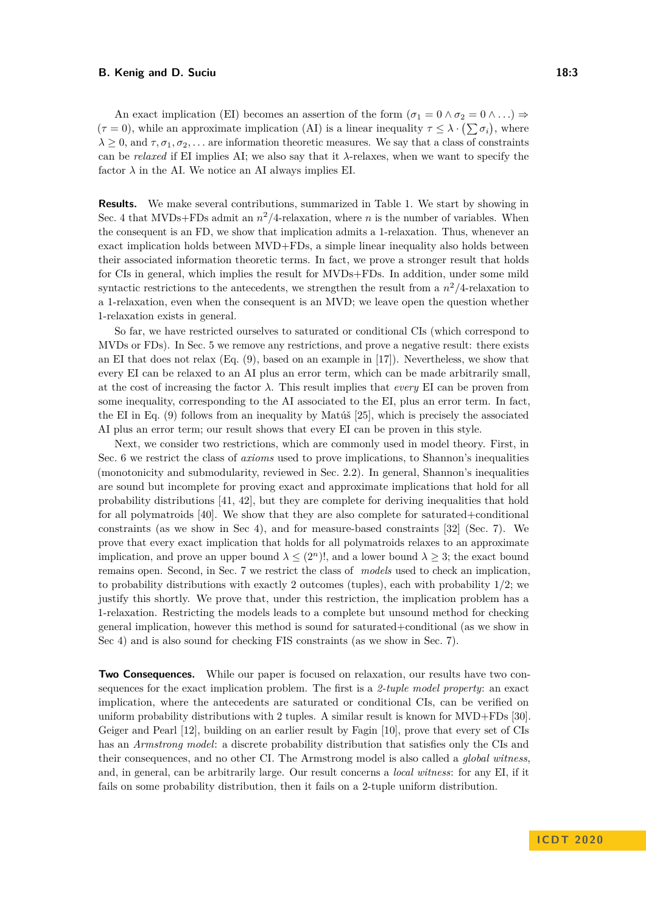An exact implication (EI) becomes an assertion of the form  $(\sigma_1 = 0 \land \sigma_2 = 0 \land ...) \Rightarrow$  $(\tau = 0)$ , while an approximate implication (AI) is a linear inequality  $\tau \leq \lambda \cdot (\sum \sigma_i)$ , where  $\lambda \geq 0$ , and  $\tau, \sigma_1, \sigma_2, \ldots$  are information theoretic measures. We say that a class of constraints can be *relaxed* if EI implies AI; we also say that it  $\lambda$ -relaxes, when we want to specify the factor  $\lambda$  in the AI. We notice an AI always implies EI.

**Results.** We make several contributions, summarized in Table [1.](#page-1-0) We start by showing in Sec. [4](#page-6-0) that MVDs+FDs admit an  $n^2/4$ -relaxation, where *n* is the number of variables. When the consequent is an FD, we show that implication admits a 1-relaxation. Thus, whenever an exact implication holds between MVD+FDs, a simple linear inequality also holds between their associated information theoretic terms. In fact, we prove a stronger result that holds for CIs in general, which implies the result for MVDs+FDs. In addition, under some mild syntactic restrictions to the antecedents, we strengthen the result from a *n* <sup>2</sup>*/*4-relaxation to a 1-relaxation, even when the consequent is an MVD; we leave open the question whether 1-relaxation exists in general.

So far, we have restricted ourselves to saturated or conditional CIs (which correspond to MVDs or FDs). In Sec. [5](#page-9-1) we remove any restrictions, and prove a negative result: there exists an EI that does not relax (Eq. [\(9\)](#page-10-0), based on an example in [\[17\]](#page-16-13)). Nevertheless, we show that every EI can be relaxed to an AI plus an error term, which can be made arbitrarily small, at the cost of increasing the factor  $\lambda$ . This result implies that *every* EI can be proven from some inequality, corresponding to the AI associated to the EI, plus an error term. In fact, the EI in Eq. [\(9\)](#page-10-0) follows from an inequality by Matúš [\[25\]](#page-16-14), which is precisely the associated AI plus an error term; our result shows that every EI can be proven in this style.

Next, we consider two restrictions, which are commonly used in model theory. First, in Sec. [6](#page-11-0) we restrict the class of *axioms* used to prove implications, to Shannon's inequalities (monotonicity and submodularity, reviewed in Sec. [2.2\)](#page-4-0). In general, Shannon's inequalities are sound but incomplete for proving exact and approximate implications that hold for all probability distributions [\[41,](#page-17-4) [42\]](#page-17-5), but they are complete for deriving inequalities that hold for all polymatroids [\[40\]](#page-17-6). We show that they are also complete for saturated+conditional constraints (as we show in Sec [4\)](#page-6-0), and for measure-based constraints [\[32\]](#page-16-7) (Sec. [7\)](#page-12-1). We prove that every exact implication that holds for all polymatroids relaxes to an approximate implication, and prove an upper bound  $\lambda \leq (2^n)!$ , and a lower bound  $\lambda \geq 3$ ; the exact bound remains open. Second, in Sec. [7](#page-12-1) we restrict the class of *models* used to check an implication, to probability distributions with exactly 2 outcomes (tuples), each with probability 1/2; we justify this shortly. We prove that, under this restriction, the implication problem has a 1-relaxation. Restricting the models leads to a complete but unsound method for checking general implication, however this method is sound for saturated+conditional (as we show in Sec [4\)](#page-6-0) and is also sound for checking FIS constraints (as we show in Sec. [7\)](#page-12-1).

**Two Consequences.** While our paper is focused on relaxation, our results have two consequences for the exact implication problem. The first is a *2-tuple model property*: an exact implication, where the antecedents are saturated or conditional CIs, can be verified on uniform probability distributions with 2 tuples. A similar result is known for MVD+FDs [\[30\]](#page-16-15). Geiger and Pearl [\[12\]](#page-15-8), building on an earlier result by Fagin [\[10\]](#page-15-10), prove that every set of CIs has an *Armstrong model*: a discrete probability distribution that satisfies only the CIs and their consequences, and no other CI. The Armstrong model is also called a *global witness*, and, in general, can be arbitrarily large. Our result concerns a *local witness*: for any EI, if it fails on some probability distribution, then it fails on a 2-tuple uniform distribution.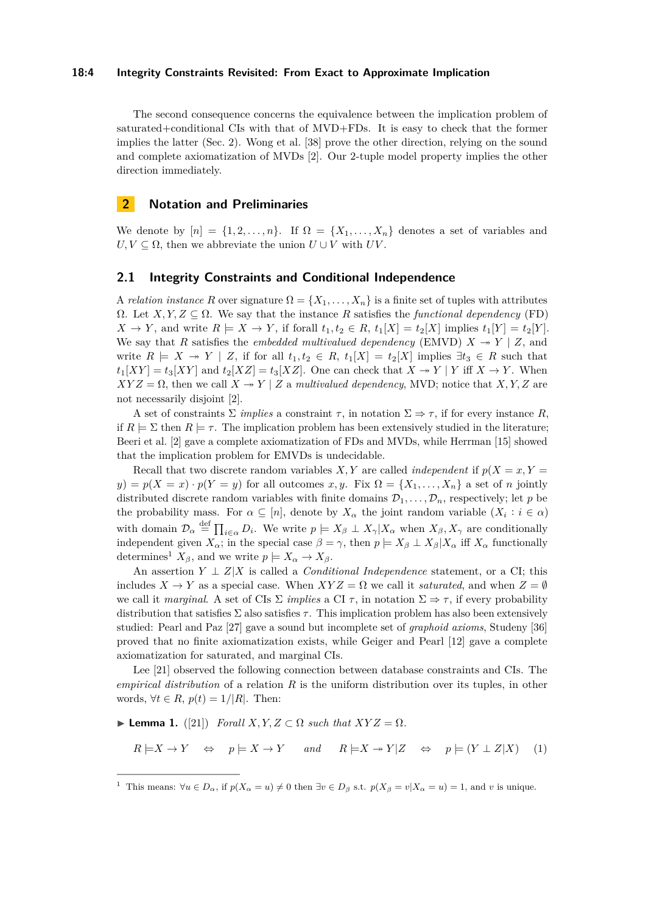### **18:4 Integrity Constraints Revisited: From Exact to Approximate Implication**

The second consequence concerns the equivalence between the implication problem of saturated+conditional CIs with that of MVD+FDs. It is easy to check that the former implies the latter (Sec. [2\)](#page-3-1). Wong et al. [\[38\]](#page-17-3) prove the other direction, relying on the sound and complete axiomatization of MVDs [\[2\]](#page-15-6). Our 2-tuple model property implies the other direction immediately.

### <span id="page-3-1"></span>**2 Notation and Preliminaries**

We denote by  $[n] = \{1, 2, \ldots, n\}$ . If  $\Omega = \{X_1, \ldots, X_n\}$  denotes a set of variables and  $U, V \subseteq \Omega$ , then we abbreviate the union  $U \cup V$  with  $UV$ .

### <span id="page-3-0"></span>**2.1 Integrity Constraints and Conditional Independence**

A *relation instance* R over signature  $\Omega = \{X_1, \ldots, X_n\}$  is a finite set of tuples with attributes  $Ω.$  Let *X, Y, Z*  $subseteq$  Ω. We say that the instance *R* satisfies the *functional dependency* (FD)  $X \to Y$ , and write  $R \models X \to Y$ , if forall  $t_1, t_2 \in R$ ,  $t_1[X] = t_2[X]$  implies  $t_1[Y] = t_2[Y]$ . We say that *R* satisfies the *embedded multivalued dependency* (EMVD)  $X \rightarrow Y \mid Z$ , and write  $R \models X \rightarrow Y \mid Z$ , if for all  $t_1, t_2 \in R$ ,  $t_1[X] = t_2[X]$  implies  $\exists t_3 \in R$  such that  $t_1[XY] = t_3[XY]$  and  $t_2[XZ] = t_3[XZ]$ . One can check that  $X \to Y$  if  $X \to Y$ . When  $XYZ = \Omega$ , then we call  $X \rightarrow Y \mid Z$  a *multivalued dependency*, MVD; notice that *X, Y, Z* are not necessarily disjoint [\[2\]](#page-15-6).

A set of constraints  $\Sigma$  *implies* a constraint  $\tau$ , in notation  $\Sigma \Rightarrow \tau$ , if for every instance *R*, if  $R \models \Sigma$  then  $R \models \tau$ . The implication problem has been extensively studied in the literature; Beeri et al. [\[2\]](#page-15-6) gave a complete axiomatization of FDs and MVDs, while Herrman [\[15\]](#page-15-7) showed that the implication problem for EMVDs is undecidable.

Recall that two discrete random variables *X,Y* are called *independent* if  $p(X = x, Y = y)$  $y$ ) =  $p(X = x) \cdot p(Y = y)$  for all outcomes *x, y*. Fix  $\Omega = \{X_1, \ldots, X_n\}$  a set of *n* jointly distributed discrete random variables with finite domains  $\mathcal{D}_1, \ldots, \mathcal{D}_n$ , respectively; let *p* be the probability mass. For  $\alpha \subseteq [n]$ , denote by  $X_{\alpha}$  the joint random variable  $(X_i : i \in \alpha)$ with domain  $\mathcal{D}_{\alpha} \stackrel{\text{def}}{=} \prod_{i \in \alpha} D_i$ . We write  $p \models X_{\beta} \perp X_{\gamma} | X_{\alpha}$  when  $X_{\beta}, X_{\gamma}$  are conditionally independent given  $X_{\alpha}$ ; in the special case  $\beta = \gamma$ , then  $p \models X_{\beta} \perp X_{\beta} | X_{\alpha}$  iff  $X_{\alpha}$  functionally determines<sup>[1](#page-3-2)</sup>  $X_{\beta}$ , and we write  $p \models X_{\alpha} \rightarrow X_{\beta}$ .

An assertion  $Y \perp Z|X$  is called a *Conditional Independence* statement, or a CI; this includes  $X \to Y$  as a special case. When  $XYZ = \Omega$  we call it *saturated*, and when  $Z = \emptyset$ we call it *marginal*. A set of CIs  $\Sigma$  *implies* a CI  $\tau$ , in notation  $\Sigma \Rightarrow \tau$ , if every probability distribution that satisfies Σ also satisfies *τ* . This implication problem has also been extensively studied: Pearl and Paz [\[27\]](#page-16-16) gave a sound but incomplete set of *graphoid axioms*, Studeny [\[36\]](#page-17-2) proved that no finite axiomatization exists, while Geiger and Pearl [\[12\]](#page-15-8) gave a complete axiomatization for saturated, and marginal CIs.

Lee [\[21\]](#page-16-11) observed the following connection between database constraints and CIs. The *empirical distribution* of a relation *R* is the uniform distribution over its tuples, in other words,  $\forall t \in R$ ,  $p(t) = 1/|R|$ . Then:

<span id="page-3-3"></span> $\blacktriangleright$  **Lemma 1.** ([\[21\]](#page-16-11)) *Forall*  $X, Y, Z \subset \Omega$  *such that*  $XYZ = \Omega$ *.* 

$$
R \models X \to Y \Leftrightarrow p \models X \to Y \quad and \quad R \models X \to Y | Z \Leftrightarrow p \models (Y \perp Z | X) \quad (1)
$$

<span id="page-3-2"></span><sup>&</sup>lt;sup>1</sup> This means:  $\forall u \in D_{\alpha}$ , if  $p(X_{\alpha} = u) \neq 0$  then  $\exists v \in D_{\beta}$  s.t.  $p(X_{\beta} = v | X_{\alpha} = u) = 1$ , and *v* is unique.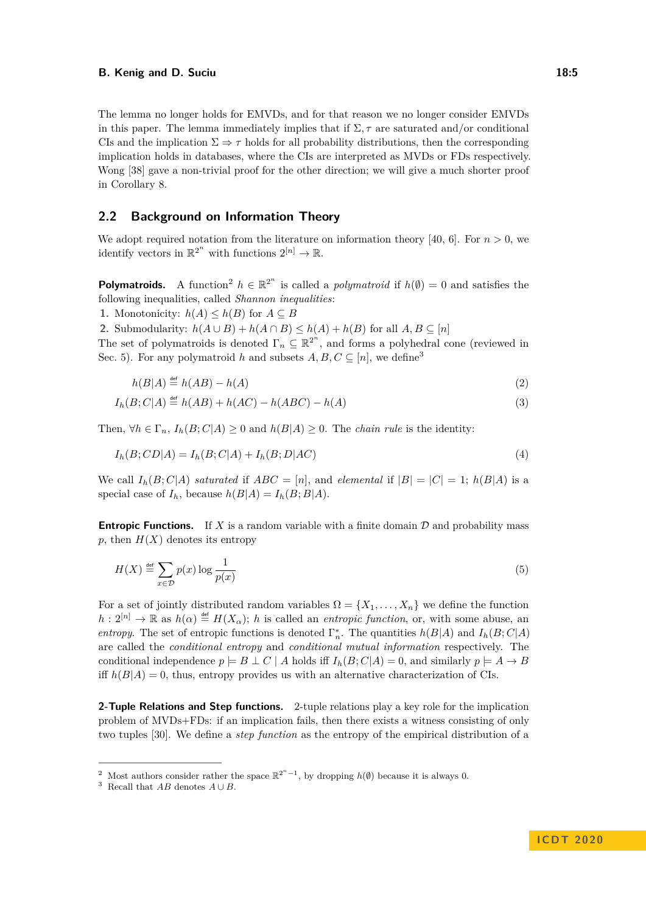The lemma no longer holds for EMVDs, and for that reason we no longer consider EMVDs in this paper. The lemma immediately implies that if  $\Sigma$ ,  $\tau$  are saturated and/or conditional CIs and the implication  $\Sigma \Rightarrow \tau$  holds for all probability distributions, then the corresponding implication holds in databases, where the CIs are interpreted as MVDs or FDs respectively. Wong [\[38\]](#page-17-3) gave a non-trivial proof for the other direction; we will give a much shorter proof in Corollary [8.](#page-7-2)

### <span id="page-4-0"></span>**2.2 Background on Information Theory**

We adopt required notation from the literature on information theory [\[40,](#page-17-6) [6\]](#page-15-11). For  $n > 0$ , we identify vectors in  $\mathbb{R}^{2^n}$  with functions  $2^{[n]} \to \mathbb{R}$ .

**Polymatroids.** A function<sup>[2](#page-4-1)</sup>  $h \in \mathbb{R}^{2^n}$  is called a *polymatroid* if  $h(\emptyset) = 0$  and satisfies the following inequalities, called *Shannon inequalities*:

1. Monotonicity:  $h(A) \leq h(B)$  for  $A \subseteq B$ 

2. Submodularity:  $h(A \cup B) + h(A \cap B) \leq h(A) + h(B)$  for all  $A, B \subseteq [n]$ 

The set of polymatroids is denoted  $\Gamma_n \subseteq \mathbb{R}^{2^n}$ , and forms a polyhedral cone (reviewed in Sec. [5\)](#page-9-1). For any polymatroid *h* and subsets  $A, B, C \subseteq [n]$ , we define<sup>[3](#page-4-2)</sup>

<span id="page-4-5"></span><span id="page-4-4"></span><span id="page-4-3"></span>
$$
h(B|A) \stackrel{\text{def}}{=} h(AB) - h(A) \tag{2}
$$

$$
I_h(B;C|A) \stackrel{\text{def}}{=} h(AB) + h(AC) - h(ABC) - h(A)
$$
\n
$$
(3)
$$

Then,  $\forall h \in \Gamma_n$ ,  $I_h(B; C|A) \geq 0$  and  $h(B|A) \geq 0$ . The *chain rule* is the identity:

$$
I_h(B;CD|A) = I_h(B;C|A) + I_h(B;D|AC)
$$
\n(4)

We call  $I_h(B; C|A)$  *saturated* if  $ABC = [n]$ , and *elemental* if  $|B| = |C| = 1$ ;  $h(B|A)$  is a special case of  $I_h$ , because  $h(B|A) = I_h(B;B|A)$ .

**Entropic Functions.** If *X* is a random variable with a finite domain  $D$  and probability mass  $p$ , then  $H(X)$  denotes its entropy

$$
H(X) \stackrel{\text{def}}{=} \sum_{x \in \mathcal{D}} p(x) \log \frac{1}{p(x)} \tag{5}
$$

For a set of jointly distributed random variables  $\Omega = \{X_1, \ldots, X_n\}$  we define the function  $h: 2^{[n]} \to \mathbb{R}$  as  $h(\alpha) \stackrel{\text{def}}{=} H(X_{\alpha});$  *h* is called an *entropic function*, or, with some abuse, an *entropy*. The set of entropic functions is denoted  $\Gamma_n^*$ . The quantities  $h(B|A)$  and  $I_h(B;C|A)$ are called the *conditional entropy* and *conditional mutual information* respectively. The conditional independence  $p \models B \perp C \mid A$  holds iff  $I_h(B; C|A) = 0$ , and similarly  $p \models A \rightarrow B$ iff  $h(B|A) = 0$ , thus, entropy provides us with an alternative characterization of CIs.

**2-Tuple Relations and Step functions.** 2-tuple relations play a key role for the implication problem of MVDs+FDs: if an implication fails, then there exists a witness consisting of only two tuples [\[30\]](#page-16-15). We define a *step function* as the entropy of the empirical distribution of a

<span id="page-4-1"></span><sup>&</sup>lt;sup>2</sup> Most authors consider rather the space  $\mathbb{R}^{2^n-1}$ , by dropping  $h(\emptyset)$  because it is always 0.

<span id="page-4-2"></span><sup>&</sup>lt;sup>3</sup> Recall that  $AB$  denotes  $A \cup B$ .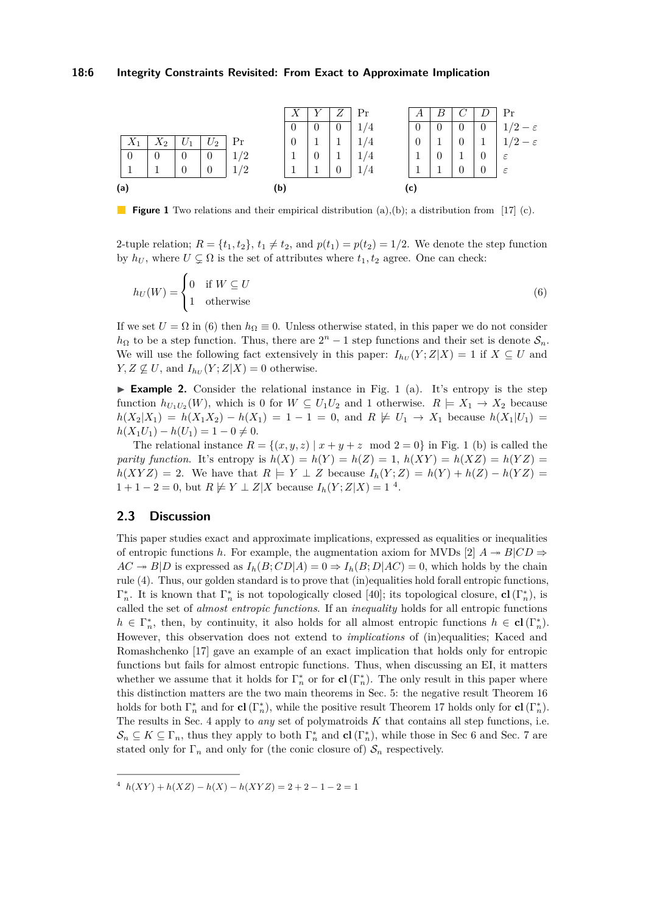<span id="page-5-1"></span>

**Figure 1** Two relations and their empirical distribution (a),(b); a distribution from [\[17\]](#page-16-13) (c).

2-tuple relation;  $R = \{t_1, t_2\}$ ,  $t_1 \neq t_2$ , and  $p(t_1) = p(t_2) = 1/2$ . We denote the step function by  $h_U$ , where  $U \subsetneq \Omega$  is the set of attributes where  $t_1, t_2$  agree. One can check:

<span id="page-5-0"></span>
$$
h_U(W) = \begin{cases} 0 & \text{if } W \subseteq U \\ 1 & \text{otherwise} \end{cases}
$$
 (6)

If we set  $U = \Omega$  in [\(6\)](#page-5-0) then  $h_{\Omega} \equiv 0$ . Unless otherwise stated, in this paper we do not consider  $h_{\Omega}$  to be a step function. Thus, there are  $2^{n} - 1$  step functions and their set is denote  $S_n$ . We will use the following fact extensively in this paper:  $I_{h_U}(Y;Z|X) = 1$  if  $X \subseteq U$  and  $Y, Z \not\subseteq U$ , and  $I_{h_U}(Y; Z | X) = 0$  otherwise.

**Example 2.** Consider the relational instance in Fig. [1](#page-5-1) (a). It's entropy is the step function  $h_{U_1U_2}(W)$ , which is 0 for  $W \subseteq U_1U_2$  and 1 otherwise.  $R \models X_1 \rightarrow X_2$  because  $h(X_2|X_1) = h(X_1X_2) - h(X_1) = 1 - 1 = 0$ , and  $R \not\models U_1 \rightarrow X_1$  because  $h(X_1|U_1) =$  $h(X_1U_1) - h(U_1) = 1 - 0 \neq 0.$ 

The relational instance  $R = \{(x, y, z) | x + y + z \mod 2 = 0\}$  in Fig. [1](#page-5-1) (b) is called the *parity function*. It's entropy is  $h(X) = h(Y) = h(Z) = 1$ ,  $h(XY) = h(XZ) = h(YZ) =$  $h(XYZ) = 2$ . We have that  $R \models Y \perp Z$  because  $I_h(Y;Z) = h(Y) + h(Z) - h(YZ) =$  $1 + 1 - 2 = 0$ , but  $R \not\models Y \perp Z | X$  because  $I_h(Y; Z | X) = 1<sup>4</sup>$  $I_h(Y; Z | X) = 1<sup>4</sup>$  $I_h(Y; Z | X) = 1<sup>4</sup>$ .

# **2.3 Discussion**

This paper studies exact and approximate implications, expressed as equalities or inequalities of entropic functions *h*. For example, the augmentation axiom for MVDs [\[2\]](#page-15-6)  $A \rightarrow B|CD \Rightarrow$  $AC \twoheadrightarrow B|D$  is expressed as  $I_h(B; CD|A) = 0 \Rightarrow I_h(B; D|AC) = 0$ , which holds by the chain rule [\(4\)](#page-4-3). Thus, our golden standard is to prove that (in)equalities hold forall entropic functions,  $\Gamma_n^*$ . It is known that  $\Gamma_n^*$  is not topologically closed [\[40\]](#page-17-6); its topological closure, **cl**( $\Gamma_n^*$ ), is called the set of *almost entropic functions*. If an *inequality* holds for all entropic functions  $h \in \Gamma_n^*$ , then, by continuity, it also holds for all almost entropic functions  $h \in \mathbf{cl}(\Gamma_n^*)$ . However, this observation does not extend to *implications* of (in)equalities; Kaced and Romashchenko [\[17\]](#page-16-13) gave an example of an exact implication that holds only for entropic functions but fails for almost entropic functions. Thus, when discussing an EI, it matters whether we assume that it holds for  $\Gamma_n^*$  or for  $cl(\Gamma_n^*)$ . The only result in this paper where this distinction matters are the two main theorems in Sec. [5:](#page-9-1) the negative result Theorem [16](#page-9-0) holds for both  $\Gamma_n^*$  and for **cl**( $\Gamma_n^*$ ), while the positive result Theorem [17](#page-10-1) holds only for **cl**( $\Gamma_n^*$ ). The results in Sec. [4](#page-6-0) apply to *any* set of polymatroids *K* that contains all step functions, i.e.  $\mathcal{S}_n \subseteq K \subseteq \Gamma_n$ , thus they apply to both  $\Gamma_n^*$  and  $cl(\Gamma_n^*)$ , while those in Sec [6](#page-11-0) and Sec. [7](#page-12-1) are stated only for  $\Gamma_n$  and only for (the conic closure of)  $S_n$  respectively.

<span id="page-5-2"></span> $h(XY) + h(XZ) - h(X) - h(XYZ) = 2 + 2 - 1 - 2 = 1$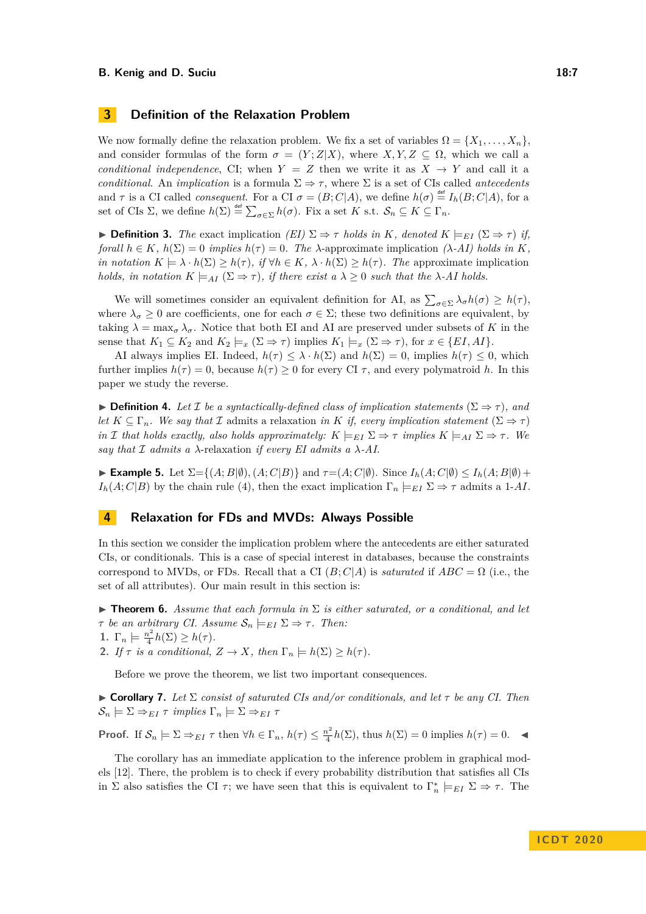# **3 Definition of the Relaxation Problem**

We now formally define the relaxation problem. We fix a set of variables  $\Omega = \{X_1, \ldots, X_n\}$ and consider formulas of the form  $\sigma = (Y; Z|X)$ , where  $X, Y, Z \subseteq \Omega$ , which we call a *conditional independence*, CI; when  $Y = Z$  then we write it as  $X \rightarrow Y$  and call it a *conditional.* An *implication* is a formula  $\Sigma \Rightarrow \tau$ , where  $\Sigma$  is a set of CIs called *antecedents* and  $\tau$  is a CI called *consequent*. For a CI  $\sigma = (B; C | A)$ , we define  $h(\sigma) \stackrel{\text{def}}{=} I_h(B; C | A)$ , for a set of CIs  $\Sigma$ , we define  $h(\Sigma) \stackrel{\text{def}}{=} \sum_{\sigma \in \Sigma} h(\sigma)$ . Fix a set *K* s.t.  $\mathcal{S}_n \subseteq K \subseteq \Gamma_n$ .

 $\triangleright$  **Definition 3.** *The* exact implication *(EI)* Σ  $\Rightarrow$  *τ holds in K, denoted K*  $\models$ <sub>*EI*</sub> (Σ  $\Rightarrow$  *τ*) *if*<sub>*i*</sub> *forall*  $h \in K$ *,*  $h(\Sigma) = 0$  *implies*  $h(\tau) = 0$ *. The*  $\lambda$ -approximate implication  $(\lambda$ -*AI)* holds in *K, in notation*  $K \models \lambda \cdot h(\Sigma) \geq h(\tau)$ *, if*  $\forall h \in K$ *,*  $\lambda \cdot h(\Sigma) \geq h(\tau)$ *. The* approximate implication *holds, in notation*  $K \models_{AI} (\Sigma \Rightarrow \tau)$ *, if there exist a*  $\lambda \geq 0$  *such that the*  $\lambda$ -AI holds.

We will sometimes consider an equivalent definition for AI, as  $\sum_{\sigma \in \Sigma} \lambda_{\sigma} h(\sigma) \geq h(\tau)$ , where  $\lambda_{\sigma} \geq 0$  are coefficients, one for each  $\sigma \in \Sigma$ ; these two definitions are equivalent, by taking  $\lambda = \max_{\sigma} \lambda_{\sigma}$ . Notice that both EI and AI are preserved under subsets of K in the sense that  $K_1 \subseteq K_2$  and  $K_2 \models_x (\Sigma \Rightarrow \tau)$  implies  $K_1 \models_x (\Sigma \Rightarrow \tau)$ , for  $x \in \{EI, AI\}$ .

AI always implies EI. Indeed,  $h(\tau) \leq \lambda \cdot h(\Sigma)$  and  $h(\Sigma) = 0$ , implies  $h(\tau) \leq 0$ , which further implies  $h(\tau) = 0$ , because  $h(\tau) \geq 0$  for every CI  $\tau$ , and every polymatroid *h*. In this paper we study the reverse.

**► Definition 4.** Let  $\mathcal{I}$  be a syntactically-defined class of implication statements ( $\Sigma \Rightarrow \tau$ ), and *let*  $K \subseteq \Gamma_n$ *. We say that*  $\mathcal I$  admits a relaxation *in*  $K$  *if, every implication statement* ( $\Sigma \Rightarrow \tau$ ) *in* I *that holds exactly, also holds approximately:*  $K \models_{EI} \Sigma \Rightarrow \tau$  *implies*  $K \models_{AI} \Sigma \Rightarrow \tau$ . We *say that*  $\mathcal I$  *admits a*  $\lambda$ -relaxation *if every EI admits a*  $\lambda$ -AI.

 $\blacktriangleright$  **Example 5.** Let  $\Sigma = \{(A; B | \emptyset), (A; C | B)\}$  and  $\tau = (A; C | \emptyset)$ . Since  $I_h(A; C | \emptyset) \leq I_h(A; B | \emptyset) +$ *I<sub>h</sub>*(*A*; *C*|*B*) by the chain rule [\(4\)](#page-4-3), then the exact implication  $\Gamma_n \models_{EI} \Sigma \Rightarrow \tau$  admits a 1-*AI*.

# <span id="page-6-0"></span>**4 Relaxation for FDs and MVDs: Always Possible**

In this section we consider the implication problem where the antecedents are either saturated CIs, or conditionals. This is a case of special interest in databases, because the constraints correspond to MVDs, or FDs. Recall that a CI  $(B; C|A)$  is *saturated* if  $ABC = \Omega$  (i.e., the set of all attributes). Our main result in this section is:

<span id="page-6-1"></span>**Findment 5.** Assume that each formula in  $\Sigma$  is either saturated, or a conditional, and let *τ be an arbitrary CI. Assume*  $S_n \models_{EI} \Sigma \Rightarrow \tau$ *. Then:* 

- <span id="page-6-2"></span>1.  $\Gamma_n \models \frac{n^2}{4}$  $\frac{n^2}{4}h(\Sigma) \geq h(\tau).$
- <span id="page-6-3"></span>**2.** *If*  $\tau$  *is a conditional,*  $Z \to X$ *, then*  $\Gamma_n \models h(\Sigma) \ge h(\tau)$ *.*

Before we prove the theorem, we list two important consequences.

 $\triangleright$  **Corollary 7.** Let  $\Sigma$  consist of saturated CIs and/or conditionals, and let  $\tau$  be any CI. Then  $\mathcal{S}_n \models \Sigma \Rightarrow_{EI} \tau \implies \Gamma \Rightarrow E$ *I*  $\tau$ 

**Proof.** If  $\mathcal{S}_n \models \Sigma \Rightarrow_{EI} \tau$  then  $\forall h \in \Gamma_n$ ,  $h(\tau) \leq \frac{n^2}{4}$  $\frac{h^2}{4}h(\Sigma)$ , thus  $h(\Sigma) = 0$  implies  $h(\tau) = 0$ .

The corollary has an immediate application to the inference problem in graphical models [\[12\]](#page-15-8). There, the problem is to check if every probability distribution that satisfies all CIs in  $\Sigma$  also satisfies the CI  $\tau$ ; we have seen that this is equivalent to  $\Gamma_n^* \models_{EI} \Sigma \Rightarrow \tau$ . The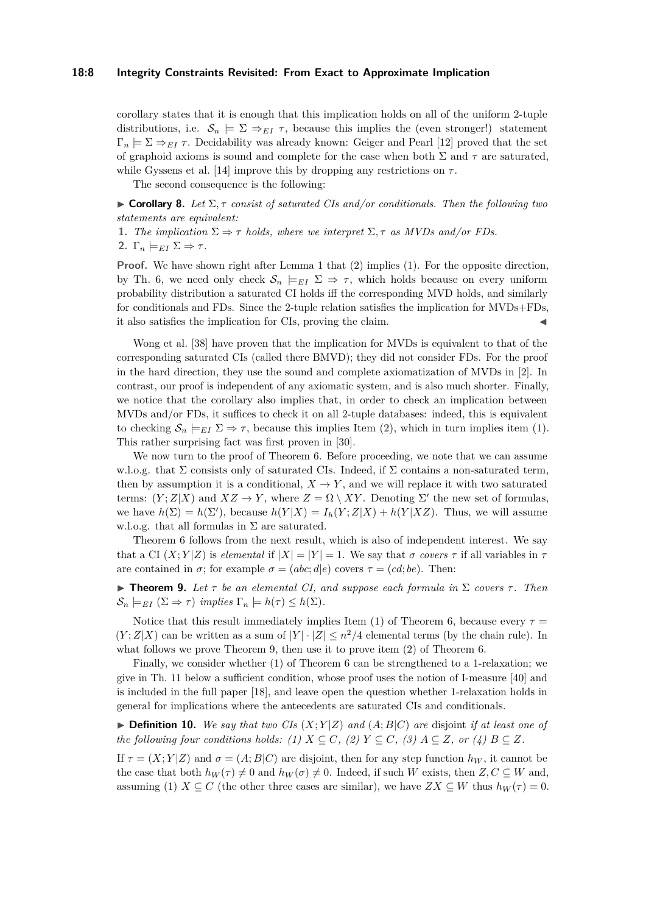### **18:8 Integrity Constraints Revisited: From Exact to Approximate Implication**

corollary states that it is enough that this implication holds on all of the uniform 2-tuple distributions, i.e.  $S_n \models \Sigma \Rightarrow_{EI} \tau$ , because this implies the (even stronger!) statement  $\Gamma_n \models \Sigma \Rightarrow_{EI} \tau$ . Decidability was already known: Geiger and Pearl [\[12\]](#page-15-8) proved that the set of graphoid axioms is sound and complete for the case when both  $\Sigma$  and  $\tau$  are saturated, while Gyssens et al. [\[14\]](#page-15-12) improve this by dropping any restrictions on  $\tau$ .

The second consequence is the following:

<span id="page-7-2"></span>**Corollary 8.** Let  $\Sigma$ ,  $\tau$  consist of saturated CIs and/or conditionals. Then the following two *statements are equivalent:*

- <span id="page-7-4"></span>**1.** *The implication*  $\Sigma \Rightarrow \tau$  *holds, where we interpret*  $\Sigma, \tau$  *as MVDs and/or FDs.*
- <span id="page-7-3"></span>2.  $\Gamma_n \models_{EI} \Sigma \Rightarrow \tau$ .

**Proof.** We have shown right after Lemma [1](#page-3-3) that [\(2\)](#page-7-3) implies [\(1\)](#page-7-4). For the opposite direction, by Th. [6,](#page-6-1) we need only check  $S_n \models_{EI} \Sigma \Rightarrow \tau$ , which holds because on every uniform probability distribution a saturated CI holds iff the corresponding MVD holds, and similarly for conditionals and FDs. Since the 2-tuple relation satisfies the implication for MVDs+FDs, it also satisfies the implication for CIs, proving the claim.

Wong et al. [\[38\]](#page-17-3) have proven that the implication for MVDs is equivalent to that of the corresponding saturated CIs (called there BMVD); they did not consider FDs. For the proof in the hard direction, they use the sound and complete axiomatization of MVDs in [\[2\]](#page-15-6). In contrast, our proof is independent of any axiomatic system, and is also much shorter. Finally, we notice that the corollary also implies that, in order to check an implication between MVDs and/or FDs, it suffices to check it on all 2-tuple databases: indeed, this is equivalent to checking  $S_n \models_{EI} \Sigma \Rightarrow \tau$ , because this implies Item [\(2\)](#page-7-3), which in turn implies item [\(1\)](#page-7-4). This rather surprising fact was first proven in [\[30\]](#page-16-15).

We now turn to the proof of Theorem [6.](#page-6-1) Before proceeding, we note that we can assume w.l.o.g. that  $\Sigma$  consists only of saturated CIs. Indeed, if  $\Sigma$  contains a non-saturated term, then by assumption it is a conditional,  $X \to Y$ , and we will replace it with two saturated terms:  $(Y;Z|X)$  and  $XZ \to Y$ , where  $Z = \Omega \setminus XY$ . Denoting  $\Sigma'$  the new set of formulas, we have  $h(\Sigma) = h(\Sigma')$ , because  $h(Y|X) = I_h(Y; Z|X) + h(Y|XZ)$ . Thus, we will assume w.l.o.g. that all formulas in  $\Sigma$  are saturated.

Theorem [6](#page-6-1) follows from the next result, which is also of independent interest. We say that a CI  $(X; Y|Z)$  is *elemental* if  $|X| = |Y| = 1$ . We say that  $\sigma$  covers  $\tau$  if all variables in  $\tau$ are contained in  $\sigma$ ; for example  $\sigma = (abc; d|e)$  covers  $\tau = (cd; be)$ . Then:

<span id="page-7-5"></span>**Find 1. Figure 1.** *Let*  $\tau$  *be an elemental CI, and suppose each formula in*  $\Sigma$  *covers*  $\tau$ *. Then*  $\mathcal{S}_n \models_{EI} (\Sigma \Rightarrow \tau) \implies \text{implies} \Gamma_n \models h(\tau) \leq h(\Sigma).$ 

Notice that this result immediately implies Item [\(1\)](#page-6-2) of Theorem [6,](#page-6-1) because every  $\tau =$  $(Y;Z|X)$  can be written as a sum of  $|Y| \cdot |Z| \leq n^2/4$  elemental terms (by the chain rule). In what follows we prove Theorem [9,](#page-7-5) then use it to prove item [\(2\)](#page-6-3) of Theorem [6.](#page-6-1)

Finally, we consider whether [\(1\)](#page-6-2) of Theorem [6](#page-6-1) can be strengthened to a 1-relaxation; we give in Th. [11](#page-7-1) below a sufficient condition, whose proof uses the notion of I-measure [\[40\]](#page-17-6) and is included in the full paper [\[18\]](#page-16-17), and leave open the question whether 1-relaxation holds in general for implications where the antecedents are saturated CIs and conditionals.

<span id="page-7-0"></span> $\triangleright$  **Definition 10.** We say that two CIs  $(X; Y|Z)$  and  $(A; B|C)$  are disjoint *if at least one of the following four conditions holds:* (1)  $X \subseteq C$ , (2)  $Y \subseteq C$ , (3)  $A \subseteq Z$ , or (4)  $B \subseteq Z$ .

<span id="page-7-1"></span>If  $\tau = (X; Y|Z)$  and  $\sigma = (A; B|C)$  are disjoint, then for any step function  $h_W$ , it cannot be the case that both  $h_W(\tau) \neq 0$  and  $h_W(\sigma) \neq 0$ . Indeed, if such *W* exists, then  $Z, C \subseteq W$  and, assuming (1)  $X \subseteq C$  (the other three cases are similar), we have  $ZX \subseteq W$  thus  $h_W(\tau) = 0$ .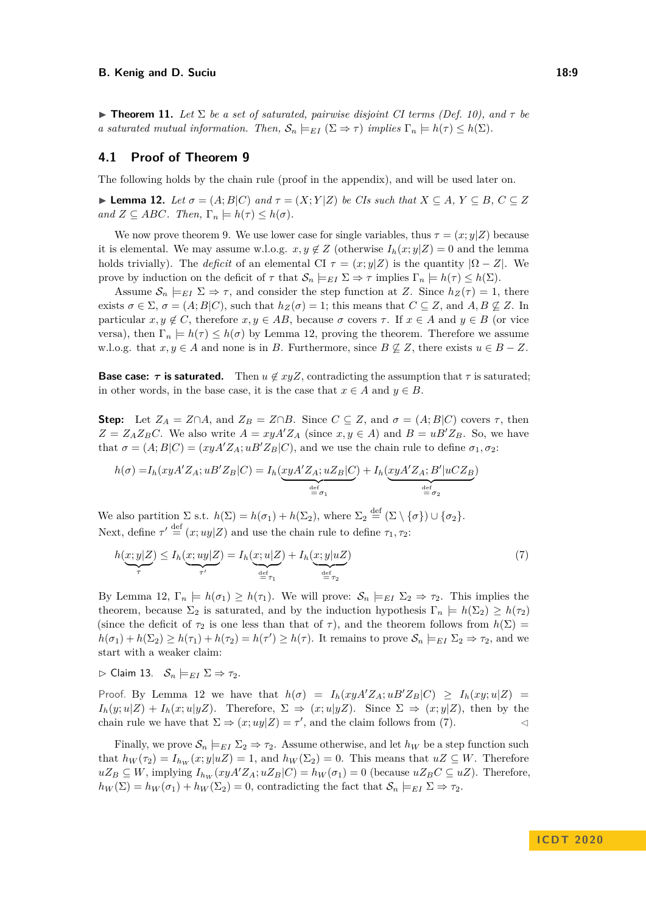$\triangleright$  **Theorem 11.** Let  $\Sigma$  be a set of saturated, pairwise disjoint CI terms (Def. [10\)](#page-7-0), and  $\tau$  be *a* saturated mutual information. Then,  $\mathcal{S}_n \models_{EI} (\Sigma \Rightarrow \tau)$  implies  $\Gamma_n \models h(\tau) \leq h(\Sigma)$ .

### **4.1 Proof of Theorem [9](#page-7-5)**

The following holds by the chain rule (proof in the appendix), and will be used later on.

<span id="page-8-0"></span> $\blacktriangleright$  **Lemma 12.** *Let*  $\sigma = (A;B|C)$  *and*  $\tau = (X;Y|Z)$  *be CIs such that*  $X \subseteq A, Y \subseteq B, C \subseteq Z$  $and Z \subseteq ABC$ *. Then,*  $\Gamma_n \models h(\tau) \leq h(\sigma)$ *.* 

We now prove theorem [9.](#page-7-5) We use lower case for single variables, thus  $\tau = (x; y|Z)$  because it is elemental. We may assume w.l.o.g.  $x, y \notin Z$  (otherwise  $I_h(x; y|Z) = 0$  and the lemma holds trivially). The *deficit* of an elemental CI  $\tau = (x; y|Z)$  is the quantity  $|\Omega - Z|$ . We prove by induction on the deficit of  $\tau$  that  $\mathcal{S}_n \models_{EI} \Sigma \Rightarrow \tau$  implies  $\Gamma_n \models h(\tau) \leq h(\Sigma)$ .

Assume  $S_n \models_{EI} \Sigma \Rightarrow \tau$ , and consider the step function at *Z*. Since  $h_Z(\tau) = 1$ , there exists  $\sigma \in \Sigma$ ,  $\sigma = (A; B|C)$ , such that  $h_Z(\sigma) = 1$ ; this means that  $C \subseteq Z$ , and  $A, B \nsubseteq Z$ . In particular  $x, y \notin C$ , therefore  $x, y \in AB$ , because  $\sigma$  covers  $\tau$ . If  $x \in A$  and  $y \in B$  (or vice versa), then  $\Gamma_n \models h(\tau) \leq h(\sigma)$  by Lemma [12,](#page-8-0) proving the theorem. Therefore we assume w.l.o.g. that  $x, y \in A$  and none is in *B*. Furthermore, since  $B \nsubseteq Z$ , there exists  $u \in B - Z$ .

**Base case:**  $\tau$  **is saturated.** Then  $u \notin \mathcal{X} \times \mathcal{Y}$  contradicting the assumption that  $\tau$  is saturated; in other words, in the base case, it is the case that  $x \in A$  and  $y \in B$ .

**Step:** Let  $Z_A = Z \cap A$ , and  $Z_B = Z \cap B$ . Since  $C \subseteq Z$ , and  $\sigma = (A; B | C)$  covers  $\tau$ , then  $Z = Z_A Z_B C$ . We also write  $A = xyA'Z_A$  (since  $x, y \in A$ ) and  $B = uB'Z_B$ . So, we have that  $\sigma = (A; B|C) = (xyA'Z_A; uB'Z_B|C)$ , and we use the chain rule to define  $\sigma_1, \sigma_2$ :

$$
h(\sigma) = I_h(xyA'Z_A; uB'Z_B|C) = I_h(\underbrace{xyA'Z_A; uZ_B|C}_{\stackrel{\text{def}}{=} \sigma_1}) + I_h(\underbrace{xyA'Z_A; B'|uCZ_B}_{\stackrel{\text{def}}{=} \sigma_2})
$$

We also partition  $\Sigma$  s.t.  $h(\Sigma) = h(\sigma_1) + h(\Sigma_2)$ , where  $\Sigma_2 \stackrel{\text{def}}{=} (\Sigma \setminus {\sigma}) \cup {\sigma_2}$ . Next, define  $\tau' \stackrel{\text{def}}{=} (x; uy|Z)$  and use the chain rule to define  $\tau_1, \tau_2$ :

<span id="page-8-1"></span>
$$
h(\underbrace{x;y|Z}_{\tau}) \leq I_h(\underbrace{x;uy|Z}_{\tau'}) = I_h(\underbrace{x;u|Z}_{\underbrace{\text{def}}_{\tau_1}}) + I_h(\underbrace{x;y|uZ}_{\underbrace{\text{def}}_{\tau_2}})
$$
(7)

By Lemma [12,](#page-8-0)  $\Gamma_n \models h(\sigma_1) \geq h(\tau_1)$ . We will prove:  $S_n \models_{EI} \Sigma_2 \Rightarrow \tau_2$ . This implies the theorem, because  $\Sigma_2$  is saturated, and by the induction hypothesis  $\Gamma_n \models h(\Sigma_2) \ge h(\tau_2)$ (since the deficit of  $\tau_2$  is one less than that of  $\tau$ ), and the theorem follows from  $h(\Sigma)$  =  $h(\sigma_1) + h(\Sigma_2) \ge h(\tau_1) + h(\tau_2) = h(\tau') \ge h(\tau)$ . It remains to prove  $\mathcal{S}_n \models_{EI} \Sigma_2 \Rightarrow \tau_2$ , and we start with a weaker claim:

 $\triangleright$  Claim 13.  $S_n \models_{EI} \Sigma \Rightarrow \tau_2$ .

Proof. By Lemma [12](#page-8-0) we have that  $h(\sigma) = I_h(xyA'Z_A; uB'Z_B|C) \geq I_h(xy; u|Z)$  $I_h(y; u|Z) + I_h(x; u|yZ)$ . Therefore,  $\Sigma \Rightarrow (x; u|yZ)$ . Since  $\Sigma \Rightarrow (x; y|Z)$ , then by the chain rule we have that  $\Sigma \Rightarrow (x; uy|Z) = \tau'$ , and the claim follows from [\(7\)](#page-8-1).

Finally, we prove  $\mathcal{S}_n \models_{EI} \Sigma_2 \Rightarrow \tau_2$ . Assume otherwise, and let  $h_W$  be a step function such that  $h_W(\tau_2) = I_{h_W}(x; y|uZ) = 1$ , and  $h_W(\Sigma_2) = 0$ . This means that  $uZ \subseteq W$ . Therefore  $uZ_B \subseteq W$ , implying  $I_{h_W}(xyA'Z_A; uZ_B|C) = h_W(\sigma_1) = 0$  (because  $uZ_B C \subseteq uZ$ ). Therefore,  $h_W(\Sigma) = h_W(\sigma_1) + h_W(\Sigma_2) = 0$ , contradicting the fact that  $\mathcal{S}_n \models_{EI} \Sigma \Rightarrow \tau_2$ .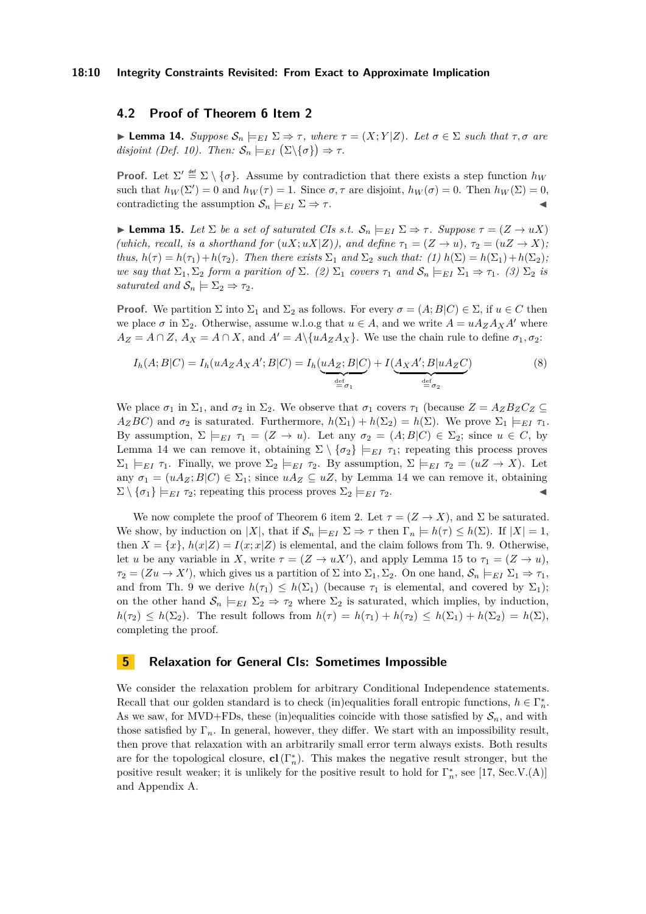### **4.2 Proof of Theorem [6](#page-6-1) Item [2](#page-6-3)**

<span id="page-9-2"></span> $\blacktriangleright$  **Lemma 14.** *Suppose*  $\mathcal{S}_n \models_{EI} \Sigma \Rightarrow \tau$ , where  $\tau = (X; Y|Z)$ . Let  $\sigma \in \Sigma$  such that  $\tau, \sigma$  are *disjoint (Def. [10\)](#page-7-0). Then:*  $S_n \models_{EI} (\Sigma \setminus {\{\sigma\}}) \Rightarrow \tau$ *.* 

**Proof.** Let  $\Sigma' \stackrel{\text{def}}{=} \Sigma \setminus \{\sigma\}$ . Assume by contradiction that there exists a step function  $h_W$ such that  $h_W(\Sigma') = 0$  and  $h_W(\tau) = 1$ . Since  $\sigma, \tau$  are disjoint,  $h_W(\sigma) = 0$ . Then  $h_W(\Sigma) = 0$ , contradicting the assumption  $S_n \models_{EI} \Sigma \Rightarrow \tau$ .

<span id="page-9-3"></span> $\blacktriangleright$  **Lemma 15.** *Let*  $\Sigma$  *be a set of saturated CIs s.t.*  $\mathcal{S}_n \models_{EI} \Sigma \Rightarrow \tau$ *. Suppose*  $\tau = (Z \rightarrow uX)$ *(which, recall, is a shorthand for*  $(uX; uX|Z)$ *), and define*  $\tau_1 = (Z \to u)$ *,*  $\tau_2 = (uZ \to X)$ *; thus,*  $h(\tau) = h(\tau_1) + h(\tau_2)$ *. Then there exists*  $\Sigma_1$  *and*  $\Sigma_2$  *such that: (1)*  $h(\Sigma) = h(\Sigma_1) + h(\Sigma_2)$ ; *we say that*  $\Sigma_1, \Sigma_2$  *form a parition of*  $\Sigma$ *. (2)*  $\Sigma_1$  *covers*  $\tau_1$  *and*  $\mathcal{S}_n \models_{EI} \Sigma_1 \Rightarrow \tau_1$ *. (3)*  $\Sigma_2$  *is saturated and*  $S_n \models \Sigma_2 \Rightarrow \tau_2$ .

**Proof.** We partition  $\Sigma$  into  $\Sigma_1$  and  $\Sigma_2$  as follows. For every  $\sigma = (A; B|C) \in \Sigma$ , if  $u \in C$  then we place  $\sigma$  in  $\Sigma_2$ . Otherwise, assume w.l.o.g that  $u \in A$ , and we write  $A = uA_ZA_XA'$  where  $A_Z = A \cap Z$ ,  $A_X = A \cap X$ , and  $A' = A \setminus \{uA_Z A_X\}$ . We use the chain rule to define  $\sigma_1, \sigma_2$ :

$$
I_h(A;B|C) = I_h(uA_ZA_XA';B|C) = I_h(\underbrace{uA_Z;B|C}_{\stackrel{\text{def}}{=} \sigma_1}) + I(\underbrace{A_XA';B|uA_ZC}_{\stackrel{\text{def}}{=} \sigma_2})
$$
(8)

We place  $\sigma_1$  in  $\Sigma_1$ , and  $\sigma_2$  in  $\Sigma_2$ . We observe that  $\sigma_1$  covers  $\tau_1$  (because  $Z = A_Z B_Z C_Z \subseteq$ *A*<sub>Z</sub>*BC*) and  $\sigma_2$  is saturated. Furthermore,  $h(\Sigma_1) + h(\Sigma_2) = h(\Sigma)$ . We prove  $\Sigma_1 \models_{EI} \tau_1$ . By assumption,  $\Sigma \models_{EI} \tau_1 = (Z \rightarrow u)$ . Let any  $\sigma_2 = (A; B | C) \in \Sigma_2$ ; since  $u \in C$ , by Lemma [14](#page-9-2) we can remove it, obtaining  $\Sigma \setminus {\sigma_2} \models_{EI} \tau_1$ ; repeating this process proves  $\Sigma_1 \models_{EI} \tau_1$ . Finally, we prove  $\Sigma_2 \models_{EI} \tau_2$ . By assumption,  $\Sigma \models_{EI} \tau_2 = (uZ \rightarrow X)$ . Let any  $\sigma_1 = (uA_Z; B|C) \in \Sigma_1$ ; since  $uA_Z \subseteq uZ$ , by Lemma [14](#page-9-2) we can remove it, obtaining  $\Sigma \setminus {\sigma_1} \models_{EI} \tau_2$ ; repeating this process proves  $\Sigma_2 \models_{EI} \tau_2$ .

We now complete the proof of Theorem [6](#page-6-1) item [2.](#page-6-3) Let  $\tau = (Z \to X)$ , and  $\Sigma$  be saturated. We show, by induction on |*X*|, that if  $S_n \models_{EI} \Sigma \Rightarrow \tau$  then  $\Gamma_n \models h(\tau) \leq h(\Sigma)$ . If  $|X| = 1$ , then  $X = \{x\}$ ,  $h(x|Z) = I(x; x|Z)$  is elemental, and the claim follows from Th. [9.](#page-7-5) Otherwise, let *u* be any variable in *X*, write  $\tau = (Z \to uX')$ , and apply Lemma [15](#page-9-3) to  $\tau_1 = (Z \to u)$ ,  $\tau_2 = (Zu \to X')$ , which gives us a partition of  $\Sigma$  into  $\Sigma_1, \Sigma_2$ . On one hand,  $\mathcal{S}_n \models_{EI} \Sigma_1 \Rightarrow \tau_1$ , and from Th. [9](#page-7-5) we derive  $h(\tau_1) \leq h(\Sigma_1)$  (because  $\tau_1$  is elemental, and covered by  $\Sigma_1$ ); on the other hand  $S_n \models_{EI} \Sigma_2 \Rightarrow \tau_2$  where  $\Sigma_2$  is saturated, which implies, by induction,  $h(\tau_2) \leq h(\Sigma_2)$ . The result follows from  $h(\tau) = h(\tau_1) + h(\tau_2) \leq h(\Sigma_1) + h(\Sigma_2) = h(\Sigma)$ , completing the proof.

# <span id="page-9-1"></span>**5 Relaxation for General CIs: Sometimes Impossible**

<span id="page-9-0"></span>We consider the relaxation problem for arbitrary Conditional Independence statements. Recall that our golden standard is to check (in)equalities forall entropic functions,  $h \in \Gamma_n^*$ . As we saw, for MVD+FDs, these (in)equalities coincide with those satisfied by  $S_n$ , and with those satisfied by  $\Gamma_n$ . In general, however, they differ. We start with an impossibility result, then prove that relaxation with an arbitrarily small error term always exists. Both results are for the topological closure,  $cl(T_n^*)$ . This makes the negative result stronger, but the positive result weaker; it is unlikely for the positive result to hold for  $\Gamma_n^*$ , see [\[17,](#page-16-13) Sec.V.(A)] and Appendix [A.](#page-17-7)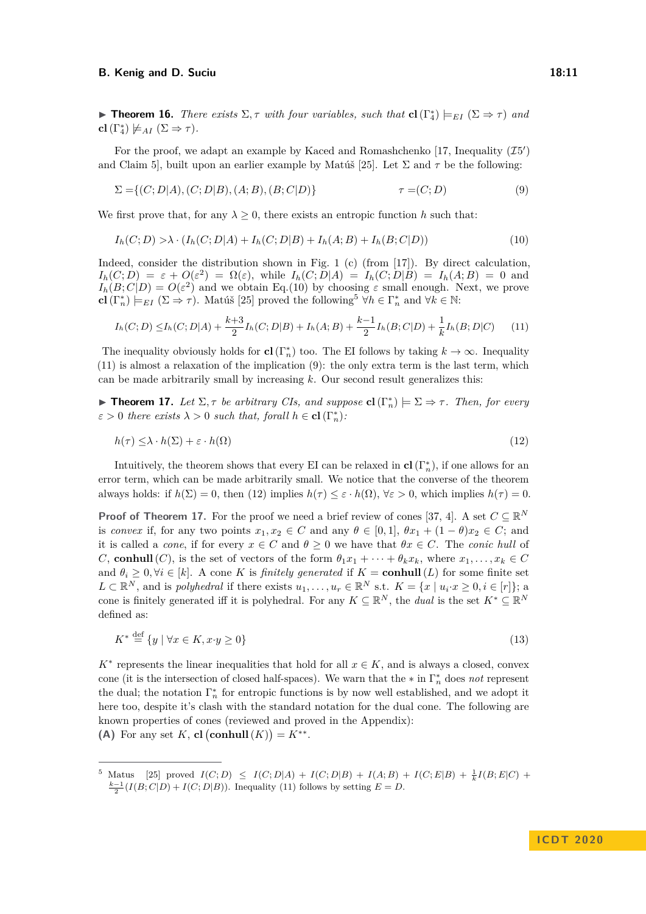**Findment 16.** *There exists*  $\Sigma, \tau$  *with four variables, such that*  $cl(T_4^*)\models_{EI} (\Sigma \Rightarrow \tau)$  *and* **cl**( $\Gamma_4^*$ )  $\not\models$  *AI* ( $\Sigma \Rightarrow \tau$ )*.* 

For the proof, we adapt an example by Kaced and Romashchenko [\[17,](#page-16-13) Inequality  $(15')$ ] and Claim 5], built upon an earlier example by Matúš [\[25\]](#page-16-14). Let Σ and *τ* be the following:

<span id="page-10-0"></span>
$$
\Sigma = \{(C; D|A), (C; D|B), (A; B), (B; C|D)\}\tag{9}
$$

We first prove that, for any  $\lambda > 0$ , there exists an entropic function h such that:

<span id="page-10-2"></span>
$$
I_h(C; D) > \lambda \cdot (I_h(C; D|A) + I_h(C; D|B) + I_h(A; B) + I_h(B; C|D))
$$
\n(10)

Indeed, consider the distribution shown in Fig. [1](#page-5-1) (c) (from [\[17\]](#page-16-13)). By direct calculation,  $I_h(C;D) = \varepsilon + O(\varepsilon^2) = \Omega(\varepsilon)$ , while  $I_h(C;D|A) = I_h(C;D|B) = I_h(A;B) = 0$  and  $I_h(B; C|D) = O(\varepsilon^2)$  and we obtain Eq.[\(10\)](#page-10-2) by choosing  $\varepsilon$  small enough. Next, we prove  $\mathbf{cl}(\Gamma_n^*) \models_{EI} (\Sigma \Rightarrow \tau)$ . Matúš [\[25\]](#page-16-14) proved the following<sup>[5](#page-10-3)</sup>  $\forall h \in \Gamma_n^*$  and  $\forall k \in \mathbb{N}$ :

<span id="page-10-4"></span>
$$
I_h(C;D) \leq I_h(C;D|A) + \frac{k+3}{2}I_h(C;D|B) + I_h(A;B) + \frac{k-1}{2}I_h(B;C|D) + \frac{1}{k}I_h(B;D|C) \tag{11}
$$

The inequality obviously holds for **cl**( $\Gamma_n^*$ ) too. The EI follows by taking  $k \to \infty$ . Inequality [\(11\)](#page-10-4) is almost a relaxation of the implication [\(9\)](#page-10-0): the only extra term is the last term, which can be made arbitrarily small by increasing *k*. Our second result generalizes this:

<span id="page-10-1"></span>**Find 17.** *Let*  $\Sigma$ ,  $\tau$  *be arbitrary CIs, and suppose* **cl**( $\Gamma_n^*$ )  $\models \Sigma \Rightarrow \tau$ *. Then, for every*  $\varepsilon > 0$  *there exists*  $\lambda > 0$  *such that, forall*  $h \in \mathbf{cl}(\Gamma_n^*)$ *:* 

<span id="page-10-5"></span>
$$
h(\tau) \leq \lambda \cdot h(\Sigma) + \varepsilon \cdot h(\Omega) \tag{12}
$$

Intuitively, the theorem shows that every EI can be relaxed in  $cl(T_n^*)$ , if one allows for an error term, which can be made arbitrarily small. We notice that the converse of the theorem always holds: if  $h(\Sigma) = 0$ , then [\(12\)](#page-10-5) implies  $h(\tau) \leq \varepsilon \cdot h(\Omega)$ ,  $\forall \varepsilon > 0$ , which implies  $h(\tau) = 0$ .

**Proof of Theorem 17.** For the proof we need a brief review of cones [\[37,](#page-17-8) [4\]](#page-15-13). A set  $C \subseteq \mathbb{R}^N$ is *convex* if, for any two points  $x_1, x_2 \in C$  and any  $\theta \in [0, 1]$ ,  $\theta x_1 + (1 - \theta)x_2 \in C$ ; and it is called a *cone*, if for every  $x \in C$  and  $\theta \geq 0$  we have that  $\theta x \in C$ . The *conic hull* of *C*, **conhull**(*C*), is the set of vectors of the form  $\theta_1 x_1 + \cdots + \theta_k x_k$ , where  $x_1, \ldots, x_k \in C$ and  $\theta_i \geq 0, \forall i \in [k]$ . A cone *K* is *finitely generated* if  $K = \text{conhull}(L)$  for some finite set  $L \subset \mathbb{R}^N$ , and is *polyhedral* if there exists  $u_1, \ldots, u_r \in \mathbb{R}^N$  s.t.  $K = \{x \mid u_i \cdot x \geq 0, i \in [r]\};$  a cone is finitely generated iff it is polyhedral. For any  $K \subseteq \mathbb{R}^N$ , the *dual* is the set  $K^* \subseteq \mathbb{R}^N$ defined as:

$$
K^* \stackrel{\text{def}}{=} \{ y \mid \forall x \in K, x \cdot y \ge 0 \} \tag{13}
$$

 $K^*$  represents the linear inequalities that hold for all  $x \in K$ , and is always a closed, convex cone (it is the intersection of closed half-spaces). We warn that the  $*$  in  $\Gamma_n^*$  does *not* represent the dual; the notation  $\Gamma_n^*$  for entropic functions is by now well established, and we adopt it here too, despite it's clash with the standard notation for the dual cone. The following are known properties of cones (reviewed and proved in the Appendix): (A) For any set *K*, **cl**  $(\text{conhull}(K)) = K^{**}.$ 

<span id="page-10-6"></span><span id="page-10-3"></span><sup>&</sup>lt;sup>5</sup> Matus [\[25\]](#page-16-14) proved  $I(C; D) \leq I(C; D|A) + I(C; D|B) + I(A; B) + I(C; E|B) + \frac{1}{k}I(B; E|C)$  +  $\frac{k-1}{2}$ (*I*(*B*; *C*|*D*) + *I*(*C*; *D*|*B*)). Inequality [\(11\)](#page-10-4) follows by setting *E* = *D*.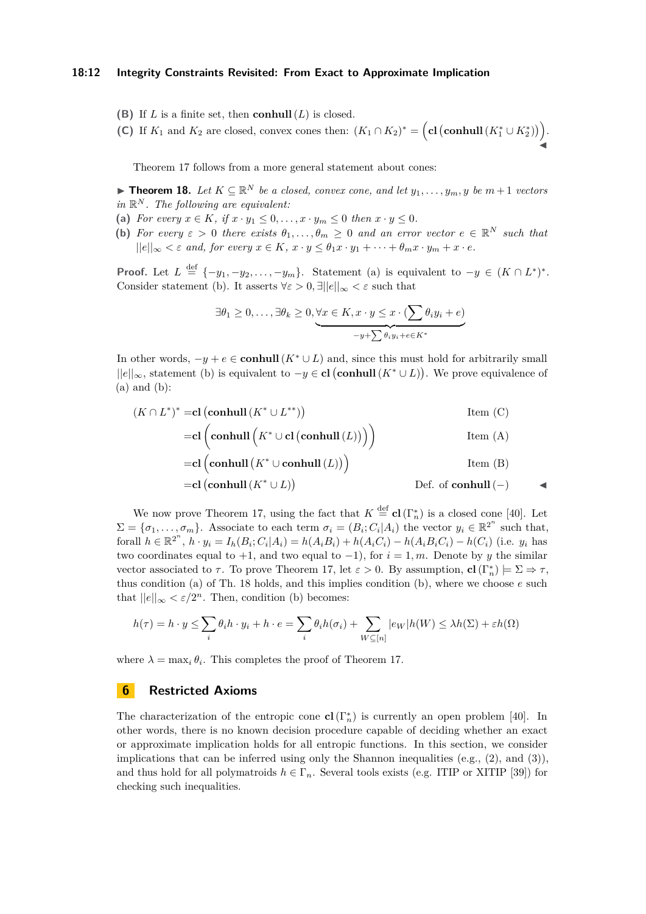### **18:12 Integrity Constraints Revisited: From Exact to Approximate Implication**

- <span id="page-11-2"></span>**(B)** If *L* is a finite set, then **conhull**(*L*) is closed.
- <span id="page-11-1"></span>(C) If  $K_1$  and  $K_2$  are closed, convex cones then:  $(K_1 \cap K_2)^* = \left(\text{cl}\left(\text{conhull}\left(K_1^* \cup K_2^*\right)\right)\right)$ .  $\overline{\blacktriangleleft}$

Theorem [17](#page-10-1) follows from a more general statement about cones:

<span id="page-11-3"></span>▶ **Theorem 18.** Let  $K \subseteq \mathbb{R}^N$  be a closed, convex cone, and let  $y_1, \ldots, y_m, y$  be  $m+1$  vectors *in* R *<sup>N</sup> . The following are equivalent:*

- (a) *For every*  $x \in K$ *, if*  $x \cdot y_1 \leq 0, \ldots, x \cdot y_m \leq 0$  *then*  $x \cdot y \leq 0$ *.*
- **(b)** For every  $\varepsilon > 0$  there exists  $\theta_1, \ldots, \theta_m \geq 0$  and an error vector  $e \in \mathbb{R}^N$  such that  $||e||_{\infty} < \varepsilon$  and, for every  $x \in K$ ,  $x \cdot y \le \theta_1 x \cdot y_1 + \cdots + \theta_m x \cdot y_m + x \cdot e$ .

**Proof.** Let  $L \stackrel{\text{def}}{=} \{-y_1, -y_2, \ldots, -y_m\}$ . Statement (a) is equivalent to  $-y \in (K \cap L^*)^*$ . Consider statement (b). It asserts  $\forall \varepsilon > 0, \exists ||e||_{\infty} < \varepsilon$  such that

$$
\exists \theta_1 \geq 0, \dots, \exists \theta_k \geq 0, \underbrace{\forall x \in K, x \cdot y \leq x \cdot (\sum \theta_i y_i + e)}_{-y + \sum \theta_i y_i + e \in K^*}
$$

In other words,  $-y + e \in \mathbf{conhull}(K^* \cup L)$  and, since this must hold for arbitrarily small ||*e*||∞, statement (b) is equivalent to −*y* ∈ **cl conhull**(*K*<sup>∗</sup> ∪ *L*) . We prove equivalence of  $(a)$  and  $(b)$ :

$$
(K \cap L^*)^* = \text{cl} \left( \text{conhull} \left( K^* \cup L^{**} \right) \right) \qquad \qquad \text{Item } (\text{C})
$$
\n
$$
= \text{cl} \left( \text{conhull} \left( K^* \cup \text{cl} \left( \text{conhull} \left( L \right) \right) \right) \right) \qquad \qquad \text{Item } (\text{A})
$$
\n
$$
= \text{cl} \left( \text{conhull} \left( K^* \cup \text{conhull} \left( L \right) \right) \right) \qquad \qquad \text{Item } (\text{B})
$$
\n
$$
= \text{cl} \left( \text{conhull} \left( K^* \cup L \right) \right) \qquad \qquad \text{Def. of} \text{conhull } (-)
$$

We now prove Theorem [17,](#page-10-1) using the fact that  $K \stackrel{\text{def}}{=} {\bf cl}(\Gamma_n^*)$  is a closed cone [\[40\]](#page-17-6). Let  $\Sigma = {\sigma_1, \ldots, \sigma_m}$ . Associate to each term  $\sigma_i = (B_i; C_i | A_i)$  the vector  $y_i \in \mathbb{R}^{2^n}$  such that, forall  $h \in \mathbb{R}^{2^n}$ ,  $h \cdot y_i = I_h(B_i; C_i | A_i) = h(A_i B_i) + h(A_i C_i) - h(A_i B_i C_i) - h(C_i)$  (i.e.  $y_i$  has two coordinates equal to  $+1$ , and two equal to  $-1$ ), for  $i = 1, m$ . Denote by *y* the similar vector associated to  $\tau$ . To prove Theorem [17,](#page-10-1) let  $\varepsilon > 0$ . By assumption, **cl**( $\Gamma_n^*$ )  $\models \Sigma \Rightarrow \tau$ , thus condition (a) of Th. [18](#page-11-3) holds, and this implies condition (b), where we choose *e* such that  $||e||_{\infty} < \varepsilon/2^{n}$ . Then, condition (b) becomes:

$$
h(\tau) = h \cdot y \le \sum_{i} \theta_i h \cdot y_i + h \cdot e = \sum_{i} \theta_i h(\sigma_i) + \sum_{W \subseteq [n]} |e_W| h(W) \le \lambda h(\Sigma) + \varepsilon h(\Omega)
$$

where  $\lambda = \max_i \theta_i$ . This completes the proof of Theorem [17.](#page-10-1)

### <span id="page-11-0"></span>**6 Restricted Axioms**

The characterization of the entropic cone  $cl(\Gamma_n^*)$  is currently an open problem [\[40\]](#page-17-6). In other words, there is no known decision procedure capable of deciding whether an exact or approximate implication holds for all entropic functions. In this section, we consider implications that can be inferred using only the Shannon inequalities (e.g.,  $(2)$ , and  $(3)$ ), and thus hold for all polymatroids  $h \in \Gamma_n$ . Several tools exists (e.g. ITIP or XITIP [\[39\]](#page-17-9)) for checking such inequalities.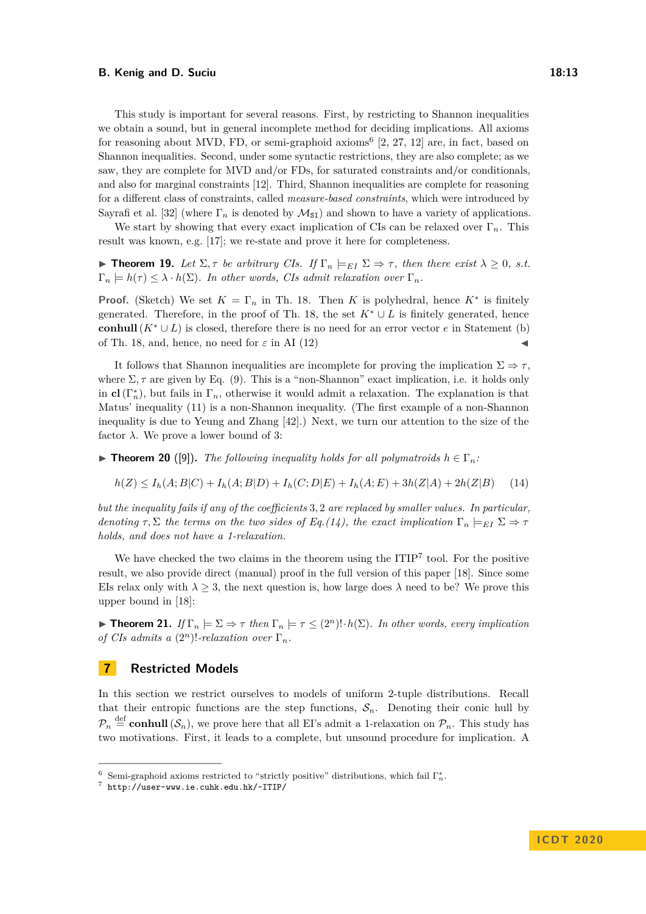This study is important for several reasons. First, by restricting to Shannon inequalities we obtain a sound, but in general incomplete method for deciding implications. All axioms for reasoning about MVD, FD, or semi-graphoid axioms<sup>[6](#page-12-2)</sup> [\[2,](#page-15-6) [27,](#page-16-16) [12\]](#page-15-8) are, in fact, based on Shannon inequalities. Second, under some syntactic restrictions, they are also complete; as we saw, they are complete for MVD and/or FDs, for saturated constraints and/or conditionals, and also for marginal constraints [\[12\]](#page-15-8). Third, Shannon inequalities are complete for reasoning for a different class of constraints, called *measure-based constraints*, which were introduced by Sayrafi et al. [\[32\]](#page-16-7) (where  $\Gamma_n$  is denoted by  $\mathcal{M}_{S}$ ) and shown to have a variety of applications.

We start by showing that every exact implication of CIs can be relaxed over  $\Gamma_n$ . This result was known, e.g. [\[17\]](#page-16-13); we re-state and prove it here for completeness.

**Figure 19.** Let  $\Sigma$ ,  $\tau$  be arbitrary CIs. If  $\Gamma_n \models_{EI} \Sigma \Rightarrow \tau$ , then there exist  $\lambda \geq 0$ , s.t.  $\Gamma_n \models h(\tau) \leq \lambda \cdot h(\Sigma)$ *. In other words, CIs admit relaxation over*  $\Gamma_n$ *.* 

**Proof.** (Sketch) We set  $K = \Gamma_n$  in Th. [18.](#page-11-3) Then *K* is polyhedral, hence  $K^*$  is finitely generated. Therefore, in the proof of Th. [18,](#page-11-3) the set  $K^* \cup L$  is finitely generated, hence **conhull**( $K^* \cup L$ ) is closed, therefore there is no need for an error vector *e* in Statement (b) of Th. [18,](#page-11-3) and, hence, no need for  $\varepsilon$  in AI [\(12\)](#page-10-5)

It follows that Shannon inequalities are incomplete for proving the implication  $\Sigma \Rightarrow \tau$ . where  $\Sigma$ ,  $\tau$  are given by Eq. [\(9\)](#page-10-0). This is a "non-Shannon" exact implication, i.e. it holds only in **cl**( $\Gamma_n^*$ ), but fails in  $\Gamma_n$ , otherwise it would admit a relaxation. The explanation is that Matus' inequality [\(11\)](#page-10-4) is a non-Shannon inequality. (The first example of a non-Shannon inequality is due to Yeung and Zhang [\[42\]](#page-17-5).) Next, we turn our attention to the size of the factor  $\lambda$ . We prove a lower bound of 3:

<span id="page-12-5"></span>**Find Theorem 20** ([\[9\]](#page-15-14)). *The following inequality holds for all polymatroids*  $h \in \Gamma_n$ *:* 

<span id="page-12-3"></span>
$$
h(Z) \le I_h(A;B|C) + I_h(A;B|D) + I_h(C;D|E) + I_h(A;E) + 3h(Z|A) + 2h(Z|B) \tag{14}
$$

*but the inequality fails if any of the coefficients* 3*,* 2 *are replaced by smaller values. In particular, denoting*  $\tau$ ,  $\Sigma$  *the terms on the two sides of Eq.[\(14\)](#page-12-3), the exact implication*  $\Gamma_n \models_{EI} \Sigma \Rightarrow \tau$ *holds, and does not have a 1-relaxation.*

We have checked the two claims in the theorem using the  $ITIP<sup>7</sup>$  $ITIP<sup>7</sup>$  $ITIP<sup>7</sup>$  tool. For the positive result, we also provide direct (manual) proof in the full version of this paper [\[18\]](#page-16-17). Since some EIs relax only with  $\lambda \geq 3$ , the next question is, how large does  $\lambda$  need to be? We prove this upper bound in [\[18\]](#page-16-17):

<span id="page-12-0"></span>**Find 11.** *If*  $\Gamma_n \models \Sigma \Rightarrow \tau$  *then*  $\Gamma_n \models \tau \leq (2^n)! \cdot h(\Sigma)$ *. In other words, every implication of CIs admits a*  $(2^n)!$ *-relaxation over*  $\Gamma_n$ *.* 

### <span id="page-12-1"></span>**7 Restricted Models**

In this section we restrict ourselves to models of uniform 2-tuple distributions. Recall that their entropic functions are the step functions,  $S_n$ . Denoting their conic hull by  $\mathcal{P}_n \stackrel{\text{def}}{=} \text{conhull}(\mathcal{S}_n)$ , we prove here that all EI's admit a 1-relaxation on  $\mathcal{P}_n$ . This study has two motivations. First, it leads to a complete, but unsound procedure for implication. A

<span id="page-12-2"></span><sup>&</sup>lt;sup>6</sup> Semi-graphoid axioms restricted to "strictly positive" distributions, which fail  $\Gamma_n^*$ .

<span id="page-12-4"></span><sup>7</sup> <http://user-www.ie.cuhk.edu.hk/~ITIP/>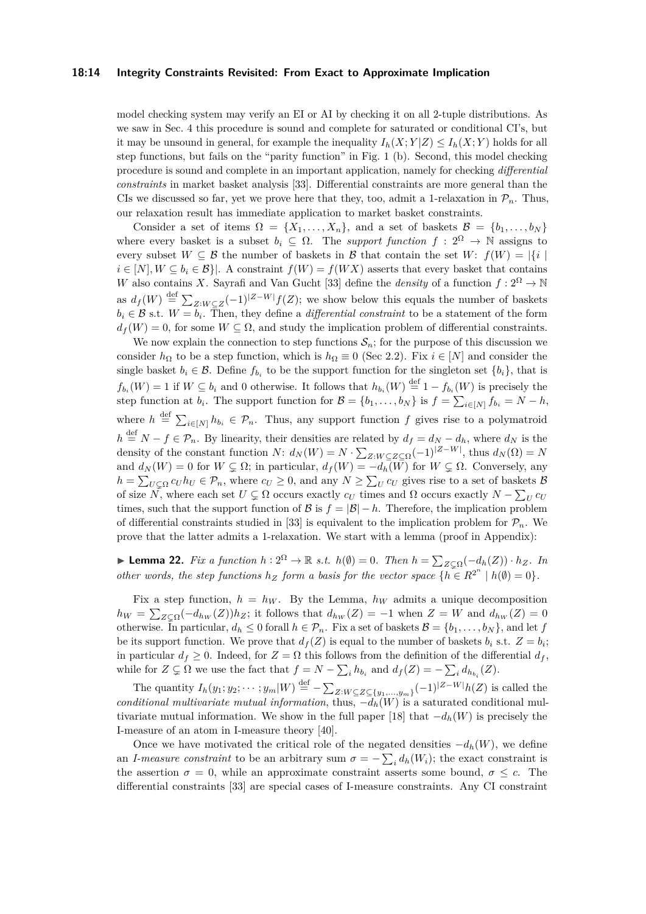### **18:14 Integrity Constraints Revisited: From Exact to Approximate Implication**

model checking system may verify an EI or AI by checking it on all 2-tuple distributions. As we saw in Sec. [4](#page-6-0) this procedure is sound and complete for saturated or conditional CI's, but it may be unsound in general, for example the inequality  $I_h(X; Y|Z) \leq I_h(X; Y)$  holds for all step functions, but fails on the "parity function" in Fig. [1](#page-5-1) (b). Second, this model checking procedure is sound and complete in an important application, namely for checking *differential constraints* in market basket analysis [\[33\]](#page-16-10). Differential constraints are more general than the CIs we discussed so far, yet we prove here that they, too, admit a 1-relaxation in  $\mathcal{P}_n$ . Thus, our relaxation result has immediate application to market basket constraints.

Consider a set of items  $\Omega = \{X_1, \ldots, X_n\}$ , and a set of baskets  $\mathcal{B} = \{b_1, \ldots, b_N\}$ where every basket is a subset  $b_i \subseteq \Omega$ . The *support function*  $f : 2^{\Omega} \to \mathbb{N}$  assigns to every subset  $W \subseteq \mathcal{B}$  the number of baskets in  $\mathcal{B}$  that contain the set  $W: f(W) = |\{i\}|$  $i \in [N], W \subseteq b_i \in \mathcal{B}$ . A constraint  $f(W) = f(WX)$  asserts that every basket that contains *W* also contains *X*. Sayrafi and Van Gucht [\[33\]](#page-16-10) define the *density* of a function  $f: 2^{\Omega} \to \mathbb{N}$ as  $d_f(W) \stackrel{\text{def}}{=} \sum_{Z:W \subseteq Z} (-1)^{|Z-W|} f(Z)$ ; we show below this equals the number of baskets  $b_i \in \mathcal{B}$  s.t.  $W = b_i$ . Then, they define a *differential constraint* to be a statement of the form  $d_f(W) = 0$ , for some  $W \subseteq \Omega$ , and study the implication problem of differential constraints.

We now explain the connection to step functions  $\mathcal{S}_n$ ; for the purpose of this discussion we consider  $h_{\Omega}$  to be a step function, which is  $h_{\Omega} \equiv 0$  (Sec [2.2\)](#page-4-0). Fix  $i \in [N]$  and consider the single basket  $b_i \in \mathcal{B}$ . Define  $f_{b_i}$  to be the support function for the singleton set  $\{b_i\}$ , that is  $f_{b_i}(W) = 1$  if  $W \subseteq b_i$  and 0 otherwise. It follows that  $h_{b_i}(W) \stackrel{\text{def}}{=} 1 - f_{b_i}(W)$  is precisely the step function at  $b_i$ . The support function for  $\mathcal{B} = \{b_1, \ldots, b_N\}$  is  $f = \sum_{i \in [N]} f_{b_i} = N - h$ , where  $h \stackrel{\text{def}}{=} \sum_{i \in [N]} h_{b_i} \in \mathcal{P}_n$ . Thus, any support function f gives rise to a polymatroid  $h \stackrel{\text{def}}{=} N - f \in \mathcal{P}_n$ . By linearity, their densities are related by  $d_f = d_N - d_h$ , where  $d_N$  is the density of the constant function *N*:  $d_N(W) = N \cdot \sum_{Z: W \subseteq Z \subseteq \Omega} (-1)^{|Z-W|}$ , thus  $d_N(\Omega) = N$ and  $d_N(W) = 0$  for  $W \subsetneq \Omega$ ; in particular,  $d_f(W) = -d_h(W)$  for  $W \subsetneq \Omega$ . Conversely, any  $h = \sum_{U \subseteq \Omega} c_U h_U \in \mathcal{P}_n$ , where  $c_U \ge 0$ , and any  $N \ge \sum_U c_U$  gives rise to a set of baskets  $\mathcal{B}$ of size  $\overline{N}$ , where each set  $U \subsetneq \Omega$  occurs exactly  $c_U$  times and  $\Omega$  occurs exactly  $N - \sum_U c_U$ times, such that the support function of  $\mathcal{B}$  is  $f = |\mathcal{B}| - h$ . Therefore, the implication problem of differential constraints studied in [\[33\]](#page-16-10) is equivalent to the implication problem for  $\mathcal{P}_n$ . We prove that the latter admits a 1-relaxation. We start with a lemma (proof in Appendix):

<span id="page-13-0"></span>► **Lemma 22.** *Fix a function*  $h: 2^{\Omega} \to \mathbb{R}$  *s.t.*  $h(\emptyset) = 0$ *. Then*  $h = \sum_{Z \subset \Omega} (-d_h(Z)) \cdot h_Z$ *. In other words, the step functions*  $h_Z$  *form a basis for the vector space*  $\{\tilde{h \in R^2}^n \mid h(\emptyset) = 0\}$ *.* 

Fix a step function,  $h = h_W$ . By the Lemma,  $h_W$  admits a unique decomposition  $h_W = \sum_{Z \subseteq \Omega} (-d_{hw}(Z))h_Z$ ; it follows that  $d_{hw}(Z) = -1$  when  $Z = W$  and  $d_{hw}(Z) = 0$ otherwise. In particular,  $d_h \leq 0$  forall  $h \in \mathcal{P}_n$ . Fix a set of baskets  $\mathcal{B} = \{b_1, \ldots, b_N\}$ , and let *f* be its support function. We prove that  $d_f(Z)$  is equal to the number of baskets  $b_i$  s.t.  $Z = b_i$ ; in particular  $d_f \geq 0$ . Indeed, for  $Z = \Omega$  this follows from the definition of the differential  $d_f$ , while for  $Z \subsetneq \Omega$  we use the fact that  $f = N - \sum_i h_{b_i}$  and  $d_f(Z) = -\sum_i d_{h_{b_i}}(Z)$ .

The quantity  $I_h(y_1; y_2; \dots; y_m|W) \stackrel{\text{def}}{=} -\sum_{Z:W \subseteq Z \subseteq \{y_1, \dots, y_m\}} (-1)^{|Z-W|} h(Z)$  is called the *conditional multivariate mutual information*, thus,  $-d_h(W)$  is a saturated conditional mul-tivariate mutual information. We show in the full paper [\[18\]](#page-16-17) that  $-d_h(W)$  is precisely the I-measure of an atom in I-measure theory [\[40\]](#page-17-6).

Once we have motivated the critical role of the negated densities  $-d_h(W)$ , we define an *I-measure constraint* to be an arbitrary sum  $\sigma = -\sum_i d_h(W_i)$ ; the exact constraint is the assertion  $\sigma = 0$ , while an approximate constraint asserts some bound,  $\sigma \leq c$ . The differential constraints [\[33\]](#page-16-10) are special cases of I-measure constraints. Any CI constraint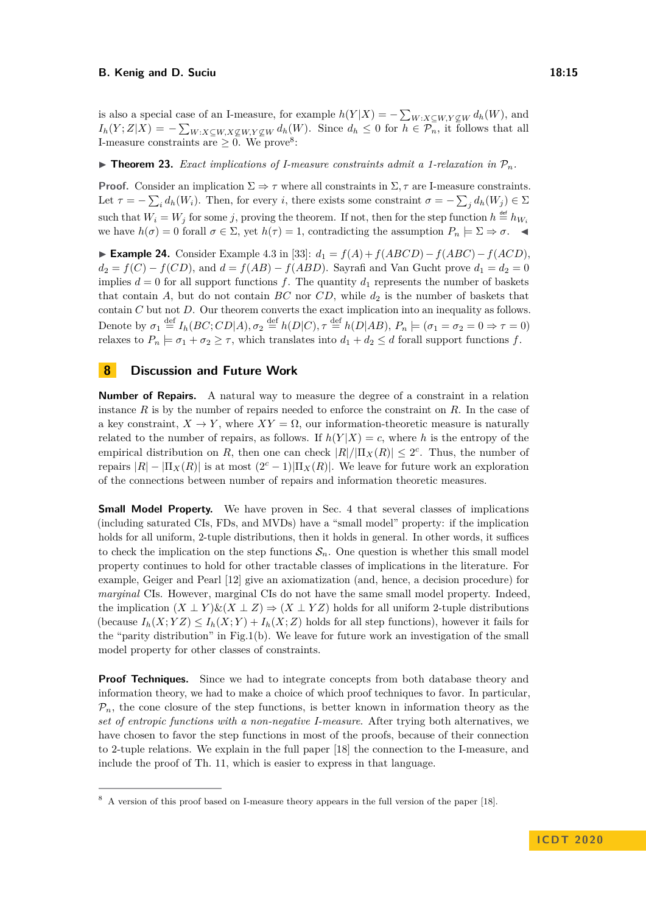is also a special case of an I-measure, for example  $h(Y|X) = -\sum_{W:X\subseteq W,Y\not\subseteq W} d_h(W)$ , and  $I_h(Y;Z|X) = -\sum_{W:X\subseteq W,X\nsubseteq W,Y\nsubseteq W} d_h(W)$ . Since  $d_h \leq 0$  for  $h \in \mathcal{P}_n$ , it follows that all I-measure constraints are  $\geq 0$ . We prove<sup>[8](#page-14-1)</sup>:

<span id="page-14-0"></span> $\triangleright$  **Theorem 23.** *Exact implications of I-measure constraints admit a 1-relaxation in*  $\mathcal{P}_n$ *.* 

**Proof.** Consider an implication  $\Sigma \Rightarrow \tau$  where all constraints in  $\Sigma$ ,  $\tau$  are I-measure constraints. Let  $\tau = -\sum_i d_h(W_i)$ . Then, for every *i*, there exists some constraint  $\sigma = -\sum_j d_h(W_j) \in \Sigma$ such that  $W_i = W_j$  for some *j*, proving the theorem. If not, then for the step function  $h \stackrel{\text{def}}{=} h_{W_i}$ we have  $h(\sigma) = 0$  forall  $\sigma \in \Sigma$ , yet  $h(\tau) = 1$ , contradicting the assumption  $P_n \models \Sigma \Rightarrow \sigma$ .

I **Example 24.** Consider Example 4.3 in [\[33\]](#page-16-10): *d*<sup>1</sup> = *f*(*A*) +*f*(*ABCD*)−*f*(*ABC*)−*f*(*ACD*),  $d_2 = f(C) - f(CD)$ , and  $d = f(AB) - f(ABD)$ . Sayrafi and Van Gucht prove  $d_1 = d_2 = 0$ implies  $d = 0$  for all support functions f. The quantity  $d_1$  represents the number of baskets that contain  $A$ , but do not contain  $BC$  nor  $CD$ , while  $d_2$  is the number of baskets that contain *C* but not *D*. Our theorem converts the exact implication into an inequality as follows. Denote by  $\sigma_1 \stackrel{\text{def}}{=} I_h(BC; CD|A), \sigma_2 \stackrel{\text{def}}{=} h(D|C), \tau \stackrel{\text{def}}{=} h(D|AB), P_n \models (\sigma_1 = \sigma_2 = 0 \Rightarrow \tau = 0)$ relaxes to  $P_n \models \sigma_1 + \sigma_2 \geq \tau$ , which translates into  $d_1 + d_2 \leq d$  forall support functions *f*.

# **8 Discussion and Future Work**

**Number of Repairs.** A natural way to measure the degree of a constraint in a relation instance *R* is by the number of repairs needed to enforce the constraint on *R*. In the case of a key constraint,  $X \to Y$ , where  $XY = \Omega$ , our information-theoretic measure is naturally related to the number of repairs, as follows. If  $h(Y|X) = c$ , where h is the entropy of the empirical distribution on *R*, then one can check  $|R|/|\Pi_X(R)| \leq 2^c$ . Thus, the number of repairs  $|R| - |\Pi_X(R)|$  is at most  $(2<sup>c</sup> - 1)|\Pi_X(R)|$ . We leave for future work an exploration of the connections between number of repairs and information theoretic measures.

**Small Model Property.** We have proven in Sec. [4](#page-6-0) that several classes of implications (including saturated CIs, FDs, and MVDs) have a "small model" property: if the implication holds for all uniform, 2-tuple distributions, then it holds in general. In other words, it suffices to check the implication on the step functions  $S_n$ . One question is whether this small model property continues to hold for other tractable classes of implications in the literature. For example, Geiger and Pearl [\[12\]](#page-15-8) give an axiomatization (and, hence, a decision procedure) for *marginal* CIs. However, marginal CIs do not have the same small model property. Indeed, the implication  $(X \perp Y) \& (X \perp Z) \Rightarrow (X \perp YZ)$  holds for all uniform 2-tuple distributions (because  $I_h(X; YZ) \leq I_h(X; Y) + I_h(X; Z)$  holds for all step functions), however it fails for the "parity distribution" in Fig[.1\(](#page-5-1)b). We leave for future work an investigation of the small model property for other classes of constraints.

**Proof Techniques.** Since we had to integrate concepts from both database theory and information theory, we had to make a choice of which proof techniques to favor. In particular,  $P_n$ , the cone closure of the step functions, is better known in information theory as the *set of entropic functions with a non-negative I-measure*. After trying both alternatives, we have chosen to favor the step functions in most of the proofs, because of their connection to 2-tuple relations. We explain in the full paper [\[18\]](#page-16-17) the connection to the I-measure, and include the proof of Th. [11,](#page-7-1) which is easier to express in that language.

<span id="page-14-1"></span><sup>8</sup> A version of this proof based on I-measure theory appears in the full version of the paper [\[18\]](#page-16-17).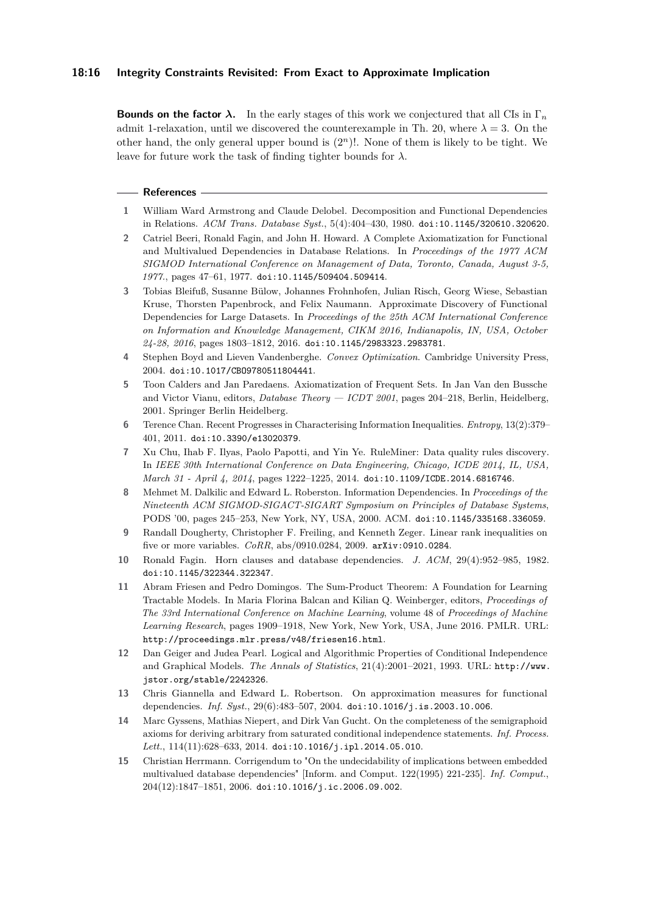### **18:16 Integrity Constraints Revisited: From Exact to Approximate Implication**

**Bounds on the factor**  $\lambda$ . In the early stages of this work we conjectured that all CIs in  $\Gamma_n$ admit 1-relaxation, until we discovered the counterexample in Th. [20,](#page-12-5) where  $\lambda = 3$ . On the other hand, the only general upper bound is (2*<sup>n</sup>*)!. None of them is likely to be tight. We leave for future work the task of finding tighter bounds for *λ*.

#### **References**

- <span id="page-15-5"></span>**1** William Ward Armstrong and Claude Delobel. Decomposition and Functional Dependencies in Relations. *ACM Trans. Database Syst.*, 5(4):404–430, 1980. [doi:10.1145/320610.320620](https://doi.org/10.1145/320610.320620).
- <span id="page-15-6"></span>**2** Catriel Beeri, Ronald Fagin, and John H. Howard. A Complete Axiomatization for Functional and Multivalued Dependencies in Database Relations. In *Proceedings of the 1977 ACM SIGMOD International Conference on Management of Data, Toronto, Canada, August 3-5, 1977.*, pages 47–61, 1977. [doi:10.1145/509404.509414](https://doi.org/10.1145/509404.509414).
- <span id="page-15-2"></span>**3** Tobias Bleifuß, Susanne Bülow, Johannes Frohnhofen, Julian Risch, Georg Wiese, Sebastian Kruse, Thorsten Papenbrock, and Felix Naumann. Approximate Discovery of Functional Dependencies for Large Datasets. In *Proceedings of the 25th ACM International Conference on Information and Knowledge Management, CIKM 2016, Indianapolis, IN, USA, October 24-28, 2016*, pages 1803–1812, 2016. [doi:10.1145/2983323.2983781](https://doi.org/10.1145/2983323.2983781).
- <span id="page-15-13"></span>**4** Stephen Boyd and Lieven Vandenberghe. *Convex Optimization*. Cambridge University Press, 2004. [doi:10.1017/CBO9780511804441](https://doi.org/10.1017/CBO9780511804441).
- <span id="page-15-4"></span>**5** Toon Calders and Jan Paredaens. Axiomatization of Frequent Sets. In Jan Van den Bussche and Victor Vianu, editors, *Database Theory — ICDT 2001*, pages 204–218, Berlin, Heidelberg, 2001. Springer Berlin Heidelberg.
- <span id="page-15-11"></span>**6** Terence Chan. Recent Progresses in Characterising Information Inequalities. *Entropy*, 13(2):379– 401, 2011. [doi:10.3390/e13020379](https://doi.org/10.3390/e13020379).
- <span id="page-15-1"></span>**7** Xu Chu, Ihab F. Ilyas, Paolo Papotti, and Yin Ye. RuleMiner: Data quality rules discovery. In *IEEE 30th International Conference on Data Engineering, Chicago, ICDE 2014, IL, USA, March 31 - April 4, 2014*, pages 1222–1225, 2014. [doi:10.1109/ICDE.2014.6816746](https://doi.org/10.1109/ICDE.2014.6816746).
- <span id="page-15-9"></span>**8** Mehmet M. Dalkilic and Edward L. Roberston. Information Dependencies. In *Proceedings of the Nineteenth ACM SIGMOD-SIGACT-SIGART Symposium on Principles of Database Systems*, PODS '00, pages 245–253, New York, NY, USA, 2000. ACM. [doi:10.1145/335168.336059](https://doi.org/10.1145/335168.336059).
- <span id="page-15-14"></span>**9** Randall Dougherty, Christopher F. Freiling, and Kenneth Zeger. Linear rank inequalities on five or more variables. *CoRR*, abs/0910.0284, 2009. [arXiv:0910.0284](http://arxiv.org/abs/0910.0284).
- <span id="page-15-10"></span>**10** Ronald Fagin. Horn clauses and database dependencies. *J. ACM*, 29(4):952–985, 1982. [doi:10.1145/322344.322347](https://doi.org/10.1145/322344.322347).
- <span id="page-15-3"></span>**11** Abram Friesen and Pedro Domingos. The Sum-Product Theorem: A Foundation for Learning Tractable Models. In Maria Florina Balcan and Kilian Q. Weinberger, editors, *Proceedings of The 33rd International Conference on Machine Learning*, volume 48 of *Proceedings of Machine Learning Research*, pages 1909–1918, New York, New York, USA, June 2016. PMLR. URL: <http://proceedings.mlr.press/v48/friesen16.html>.
- <span id="page-15-8"></span>**12** Dan Geiger and Judea Pearl. Logical and Algorithmic Properties of Conditional Independence and Graphical Models. *The Annals of Statistics*, 21(4):2001–2021, 1993. URL: [http://www.](http://www.jstor.org/stable/2242326) [jstor.org/stable/2242326](http://www.jstor.org/stable/2242326).
- <span id="page-15-0"></span>**13** Chris Giannella and Edward L. Robertson. On approximation measures for functional dependencies. *Inf. Syst.*, 29(6):483–507, 2004. [doi:10.1016/j.is.2003.10.006](https://doi.org/10.1016/j.is.2003.10.006).
- <span id="page-15-12"></span>**14** Marc Gyssens, Mathias Niepert, and Dirk Van Gucht. On the completeness of the semigraphoid axioms for deriving arbitrary from saturated conditional independence statements. *Inf. Process.*  $Lett.,\ 114(11):628\hbox{--}633,\ 2014.\ \texttt{doi:10.1016/j.ipl.2014.05.010}.$  $Lett.,\ 114(11):628\hbox{--}633,\ 2014.\ \texttt{doi:10.1016/j.ipl.2014.05.010}.$  $Lett.,\ 114(11):628\hbox{--}633,\ 2014.\ \texttt{doi:10.1016/j.ipl.2014.05.010}.$
- <span id="page-15-7"></span>**15** Christian Herrmann. Corrigendum to "On the undecidability of implications between embedded multivalued database dependencies" [Inform. and Comput. 122(1995) 221-235]. *Inf. Comput.*, 204(12):1847–1851, 2006. [doi:10.1016/j.ic.2006.09.002](https://doi.org/10.1016/j.ic.2006.09.002).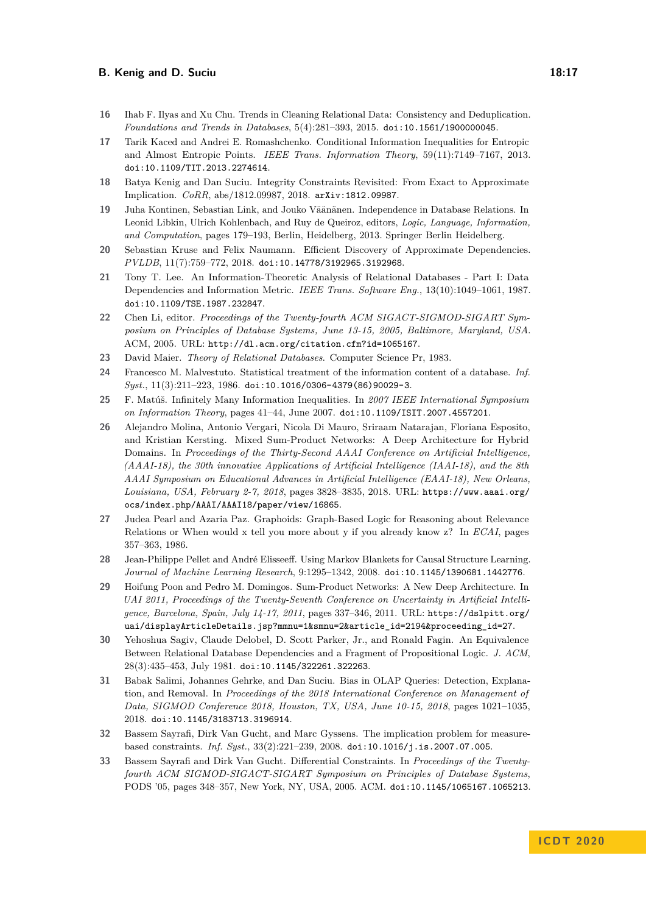- <span id="page-16-1"></span>**16** Ihab F. Ilyas and Xu Chu. Trends in Cleaning Relational Data: Consistency and Deduplication. *Foundations and Trends in Databases*, 5(4):281–393, 2015. [doi:10.1561/1900000045](https://doi.org/10.1561/1900000045).
- <span id="page-16-13"></span>**17** Tarik Kaced and Andrei E. Romashchenko. Conditional Information Inequalities for Entropic and Almost Entropic Points. *IEEE Trans. Information Theory*, 59(11):7149–7167, 2013. [doi:10.1109/TIT.2013.2274614](https://doi.org/10.1109/TIT.2013.2274614).
- <span id="page-16-17"></span>**18** Batya Kenig and Dan Suciu. Integrity Constraints Revisited: From Exact to Approximate Implication. *CoRR*, abs/1812.09987, 2018. [arXiv:1812.09987](http://arxiv.org/abs/1812.09987).
- <span id="page-16-9"></span>**19** Juha Kontinen, Sebastian Link, and Jouko Väänänen. Independence in Database Relations. In Leonid Libkin, Ulrich Kohlenbach, and Ruy de Queiroz, editors, *Logic, Language, Information, and Computation*, pages 179–193, Berlin, Heidelberg, 2013. Springer Berlin Heidelberg.
- <span id="page-16-0"></span>**20** Sebastian Kruse and Felix Naumann. Efficient Discovery of Approximate Dependencies. *PVLDB*, 11(7):759–772, 2018. [doi:10.14778/3192965.3192968](https://doi.org/10.14778/3192965.3192968).
- <span id="page-16-11"></span>**21** Tony T. Lee. An Information-Theoretic Analysis of Relational Databases - Part I: Data Dependencies and Information Metric. *IEEE Trans. Software Eng.*, 13(10):1049–1061, 1987. [doi:10.1109/TSE.1987.232847](https://doi.org/10.1109/TSE.1987.232847).
- <span id="page-16-6"></span>**22** Chen Li, editor. *Proceedings of the Twenty-fourth ACM SIGACT-SIGMOD-SIGART Symposium on Principles of Database Systems, June 13-15, 2005, Baltimore, Maryland, USA*. ACM, 2005. URL: <http://dl.acm.org/citation.cfm?id=1065167>.
- <span id="page-16-8"></span>**23** David Maier. *Theory of Relational Databases*. Computer Science Pr, 1983.
- <span id="page-16-12"></span>**24** Francesco M. Malvestuto. Statistical treatment of the information content of a database. *Inf. Syst.*, 11(3):211–223, 1986. [doi:10.1016/0306-4379\(86\)90029-3](https://doi.org/10.1016/0306-4379(86)90029-3).
- <span id="page-16-14"></span>**25** F. Matúš. Infinitely Many Information Inequalities. In *2007 IEEE International Symposium on Information Theory*, pages 41–44, June 2007. [doi:10.1109/ISIT.2007.4557201](https://doi.org/10.1109/ISIT.2007.4557201).
- <span id="page-16-5"></span>**26** Alejandro Molina, Antonio Vergari, Nicola Di Mauro, Sriraam Natarajan, Floriana Esposito, and Kristian Kersting. Mixed Sum-Product Networks: A Deep Architecture for Hybrid Domains. In *Proceedings of the Thirty-Second AAAI Conference on Artificial Intelligence, (AAAI-18), the 30th innovative Applications of Artificial Intelligence (IAAI-18), and the 8th AAAI Symposium on Educational Advances in Artificial Intelligence (EAAI-18), New Orleans, Louisiana, USA, February 2-7, 2018*, pages 3828–3835, 2018. URL: [https://www.aaai.org/](https://www.aaai.org/ocs/index.php/AAAI/AAAI18/paper/view/16865) [ocs/index.php/AAAI/AAAI18/paper/view/16865](https://www.aaai.org/ocs/index.php/AAAI/AAAI18/paper/view/16865).
- <span id="page-16-16"></span>**27** Judea Pearl and Azaria Paz. Graphoids: Graph-Based Logic for Reasoning about Relevance Relations or When would x tell you more about y if you already know z? In *ECAI*, pages 357–363, 1986.
- <span id="page-16-2"></span>**28** Jean-Philippe Pellet and André Elisseeff. Using Markov Blankets for Causal Structure Learning. *Journal of Machine Learning Research*, 9:1295–1342, 2008. [doi:10.1145/1390681.1442776](https://doi.org/10.1145/1390681.1442776).
- <span id="page-16-4"></span>**29** Hoifung Poon and Pedro M. Domingos. Sum-Product Networks: A New Deep Architecture. In *UAI 2011, Proceedings of the Twenty-Seventh Conference on Uncertainty in Artificial Intelligence, Barcelona, Spain, July 14-17, 2011*, pages 337–346, 2011. URL: [https://dslpitt.org/](https://dslpitt.org/uai/displayArticleDetails.jsp?mmnu=1&smnu=2&article_id=2194&proceeding_id=27) [uai/displayArticleDetails.jsp?mmnu=1&smnu=2&article\\_id=2194&proceeding\\_id=27](https://dslpitt.org/uai/displayArticleDetails.jsp?mmnu=1&smnu=2&article_id=2194&proceeding_id=27).
- <span id="page-16-15"></span>**30** Yehoshua Sagiv, Claude Delobel, D. Scott Parker, Jr., and Ronald Fagin. An Equivalence Between Relational Database Dependencies and a Fragment of Propositional Logic. *J. ACM*, 28(3):435–453, July 1981. [doi:10.1145/322261.322263](https://doi.org/10.1145/322261.322263).
- <span id="page-16-3"></span>**31** Babak Salimi, Johannes Gehrke, and Dan Suciu. Bias in OLAP Queries: Detection, Explanation, and Removal. In *Proceedings of the 2018 International Conference on Management of Data, SIGMOD Conference 2018, Houston, TX, USA, June 10-15, 2018*, pages 1021–1035, 2018. [doi:10.1145/3183713.3196914](https://doi.org/10.1145/3183713.3196914).
- <span id="page-16-7"></span>**32** Bassem Sayrafi, Dirk Van Gucht, and Marc Gyssens. The implication problem for measurebased constraints. *Inf. Syst.*, 33(2):221–239, 2008. [doi:10.1016/j.is.2007.07.005](https://doi.org/10.1016/j.is.2007.07.005).
- <span id="page-16-10"></span>**33** Bassem Sayrafi and Dirk Van Gucht. Differential Constraints. In *Proceedings of the Twentyfourth ACM SIGMOD-SIGACT-SIGART Symposium on Principles of Database Systems*, PODS '05, pages 348–357, New York, NY, USA, 2005. ACM. [doi:10.1145/1065167.1065213](https://doi.org/10.1145/1065167.1065213).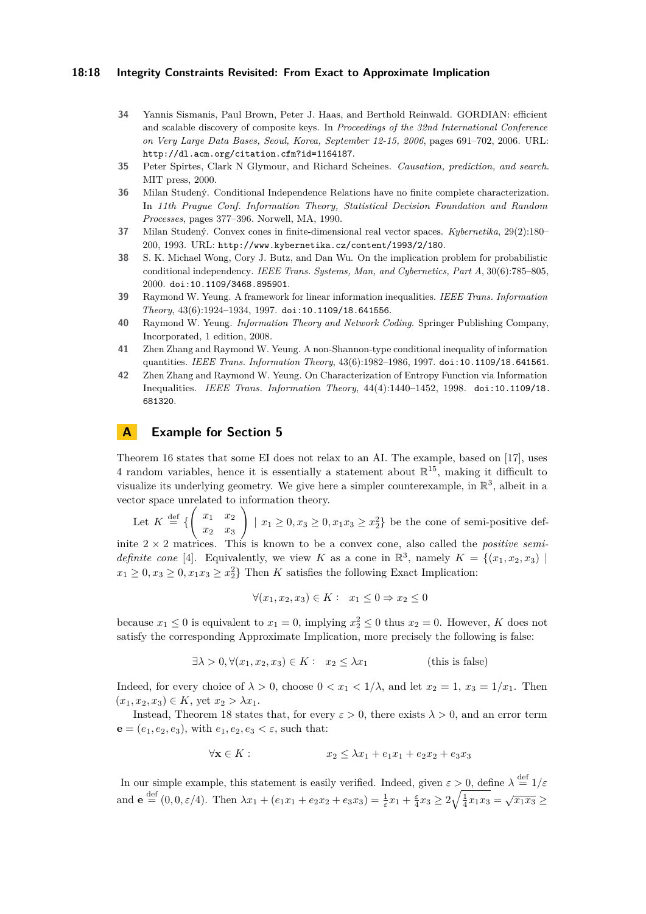### **18:18 Integrity Constraints Revisited: From Exact to Approximate Implication**

- <span id="page-17-0"></span>**34** Yannis Sismanis, Paul Brown, Peter J. Haas, and Berthold Reinwald. GORDIAN: efficient and scalable discovery of composite keys. In *Proceedings of the 32nd International Conference on Very Large Data Bases, Seoul, Korea, September 12-15, 2006*, pages 691–702, 2006. URL: <http://dl.acm.org/citation.cfm?id=1164187>.
- <span id="page-17-1"></span>**35** Peter Spirtes, Clark N Glymour, and Richard Scheines. *Causation, prediction, and search*. MIT press, 2000.
- <span id="page-17-2"></span>**36** Milan Studený. Conditional Independence Relations have no finite complete characterization. In *11th Prague Conf. Information Theory, Statistical Decision Foundation and Random Processes*, pages 377–396. Norwell, MA, 1990.
- <span id="page-17-8"></span>**37** Milan Studený. Convex cones in finite-dimensional real vector spaces. *Kybernetika*, 29(2):180– 200, 1993. URL: <http://www.kybernetika.cz/content/1993/2/180>.
- <span id="page-17-3"></span>**38** S. K. Michael Wong, Cory J. Butz, and Dan Wu. On the implication problem for probabilistic conditional independency. *IEEE Trans. Systems, Man, and Cybernetics, Part A*, 30(6):785–805, 2000. [doi:10.1109/3468.895901](https://doi.org/10.1109/3468.895901).
- <span id="page-17-9"></span>**39** Raymond W. Yeung. A framework for linear information inequalities. *IEEE Trans. Information Theory*, 43(6):1924–1934, 1997. [doi:10.1109/18.641556](https://doi.org/10.1109/18.641556).
- <span id="page-17-6"></span>**40** Raymond W. Yeung. *Information Theory and Network Coding*. Springer Publishing Company, Incorporated, 1 edition, 2008.
- <span id="page-17-4"></span>**41** Zhen Zhang and Raymond W. Yeung. A non-Shannon-type conditional inequality of information quantities. *IEEE Trans. Information Theory*, 43(6):1982–1986, 1997. [doi:10.1109/18.641561](https://doi.org/10.1109/18.641561).
- <span id="page-17-5"></span>**42** Zhen Zhang and Raymond W. Yeung. On Characterization of Entropy Function via Information Inequalities. *IEEE Trans. Information Theory*, 44(4):1440–1452, 1998. [doi:10.1109/18.](https://doi.org/10.1109/18.681320) [681320](https://doi.org/10.1109/18.681320).

# <span id="page-17-7"></span>**A Example for Section [5](#page-9-1)**

Theorem [16](#page-9-0) states that some EI does not relax to an AI. The example, based on [\[17\]](#page-16-13), uses 4 random variables, hence it is essentially a statement about  $\mathbb{R}^{15}$ , making it difficult to visualize its underlying geometry. We give here a simpler counterexample, in  $\mathbb{R}^3$ , albeit in a vector space unrelated to information theory.

Let  $K \stackrel{\text{def}}{=} \left\{ \begin{pmatrix} x_1 & x_2 \end{pmatrix} \right\}$ *x*<sup>2</sup> *x*<sup>3</sup>  $\setminus$  $|x_1 \geq 0, x_3 \geq 0, x_1x_3 \geq x_2^2$  be the cone of semi-positive def-

inite 2 × 2 matrices. This is known to be a convex cone, also called the *positive semidefinite cone* [\[4\]](#page-15-13). Equivalently, we view *K* as a cone in  $\mathbb{R}^3$ , namely  $K = \{(x_1, x_2, x_3) \mid$  $x_1 \geq 0, x_3 \geq 0, x_1x_3 \geq x_2^2$  Then *K* satisfies the following Exact Implication:

$$
\forall (x_1, x_2, x_3) \in K: \ x_1 \le 0 \Rightarrow x_2 \le 0
$$

because  $x_1 \leq 0$  is equivalent to  $x_1 = 0$ , implying  $x_2^2 \leq 0$  thus  $x_2 = 0$ . However, *K* does not satisfy the corresponding Approximate Implication, more precisely the following is false:

$$
\exists \lambda > 0, \forall (x_1, x_2, x_3) \in K: \quad x_2 \le \lambda x_1 \tag{this is false}
$$

Indeed, for every choice of  $\lambda > 0$ , choose  $0 < x_1 < 1/\lambda$ , and let  $x_2 = 1$ ,  $x_3 = 1/x_1$ . Then  $(x_1, x_2, x_3) \in K$ , yet  $x_2 > \lambda x_1$ .

Instead, Theorem [18](#page-11-3) states that, for every  $\varepsilon > 0$ , there exists  $\lambda > 0$ , and an error term **e** =  $(e_1, e_2, e_3)$ , with  $e_1, e_2, e_3 < \varepsilon$ , such that:

$$
\forall \mathbf{x} \in K : \qquad x_2 \le \lambda x_1 + e_1 x_1 + e_2 x_2 + e_3 x_3
$$

In our simple example, this statement is easily verified. Indeed, given  $\varepsilon > 0$ , define  $\lambda \stackrel{\text{def}}{=} 1/\varepsilon$ and  $\mathbf{e} \stackrel{\text{def}}{=} (0, 0, \varepsilon/4)$ . Then  $\lambda x_1 + (e_1 x_1 + e_2 x_2 + e_3 x_3) = \frac{1}{\varepsilon} x_1 + \frac{\varepsilon}{4} x_3 \ge 2 \sqrt{\frac{1}{4} x_1 x_3} = \sqrt{x_1 x_3} \ge 0$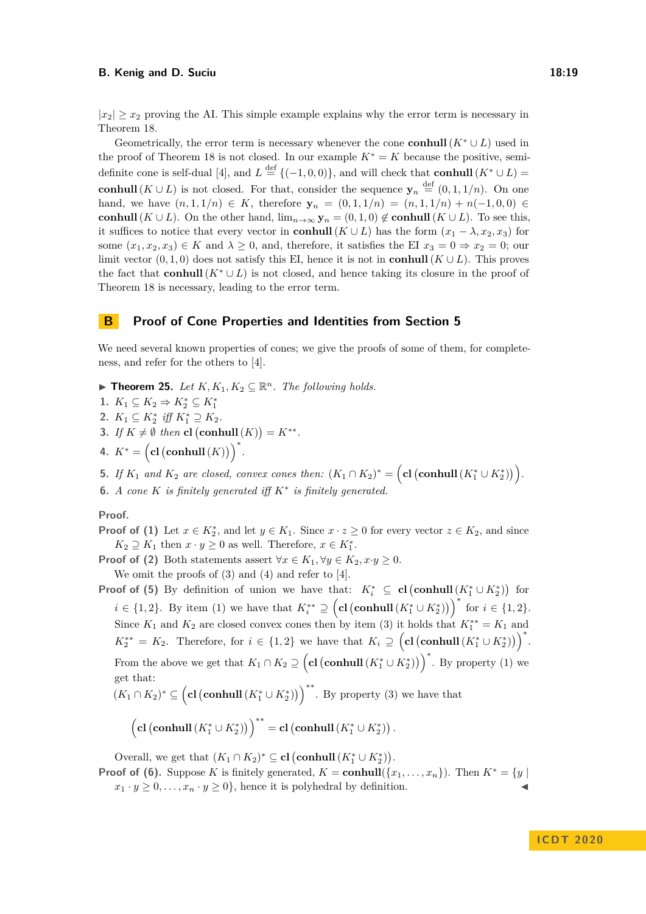$|x_2| > x_2$  proving the AI. This simple example explains why the error term is necessary in Theorem [18.](#page-11-3)

Geometrically, the error term is necessary whenever the cone **conhull**  $(K^* \cup L)$  used in the proof of Theorem [18](#page-11-3) is not closed. In our example  $K^* = K$  because the positive, semi-definite cone is self-dual [\[4\]](#page-15-13), and  $L \stackrel{\text{def}}{=} \{(-1,0,0)\},$  and will check that **conhull**  $(K^* \cup L)$ **conhull**( $K \cup L$ ) is not closed. For that, consider the sequence  $y_n \stackrel{\text{def}}{=} (0,1,1/n)$ . On one hand, we have  $(n, 1, 1/n)$  ∈ *K*, therefore  $y_n = (0, 1, 1/n) = (n, 1, 1/n) + n(-1, 0, 0)$  ∈ **conhull**( $K \cup L$ ). On the other hand,  $\lim_{n\to\infty}$ **y**<sub>*n*</sub> = (0*,* 1*,* 0)  $\notin$  **conhull**( $K \cup L$ ). To see this, it suffices to notice that every vector in **conhull**( $K \cup L$ ) has the form  $(x_1 - \lambda, x_2, x_3)$  for some  $(x_1, x_2, x_3) \in K$  and  $\lambda \geq 0$ , and, therefore, it satisfies the EI  $x_3 = 0 \Rightarrow x_2 = 0$ ; our limit vector  $(0, 1, 0)$  does not satisfy this EI, hence it is not in **conhull**  $(K \cup L)$ . This proves the fact that **conhull**( $K^* \cup L$ ) is not closed, and hence taking its closure in the proof of Theorem [18](#page-11-3) is necessary, leading to the error term.

### **B Proof of Cone Properties and Identities from Section [5](#page-9-1)**

We need several known properties of cones; we give the proofs of some of them, for completeness, and refer for the others to [\[4\]](#page-15-13).

▶ **Theorem 25.** *Let*  $K, K_1, K_2 \subseteq \mathbb{R}^n$ *. The following holds.* 

<span id="page-18-0"></span>1.  $K_1 \subseteq K_2 \Rightarrow K_2^* \subseteq K_1^*$ 

- <span id="page-18-1"></span>2.  $K_1 \subseteq K_2^*$  *iff*  $K_1^* \supseteq K_2$ *.*
- <span id="page-18-2"></span>**3.** *If*  $K \neq \emptyset$  *then* **cl**  $(\text{conhull}(K)) = K^{**}.$
- <span id="page-18-3"></span>**4.**  $K^* = (\text{cl}(\text{conhull}(K)))^*.$
- <span id="page-18-4"></span>**5.** *If*  $K_1$  *and*  $K_2$  *are closed, convex cones then:*  $(K_1 \cap K_2)^* = (\text{cl}(\text{conhull}(K_1^* \cup K_2^*))).$
- <span id="page-18-5"></span>**6.** *A cone*  $K$  *is finitely generated iff*  $K^*$  *is finitely generated.*

## **Proof.**

- **Proof of [\(1\)](#page-18-0)** Let  $x \in K_2^*$ , and let  $y \in K_1$ . Since  $x \cdot z \ge 0$  for every vector  $z \in K_2$ , and since  $K_2 \supseteq K_1$  then  $x \cdot y \geq 0$  as well. Therefore,  $x \in K_1^*$ .
- **Proof of [\(2\)](#page-18-1)** Both statements assert  $\forall x \in K_1, \forall y \in K_2, x \cdot y \ge 0$ .

We omit the proofs of  $(3)$  and  $(4)$  and refer to  $[4]$ .

**Proof of [\(5\)](#page-18-4)** By definition of union we have that:  $K_i^* \subseteq \textbf{cl}(\textbf{conhull}(K_1^* \cup K_2^*))$  for *i* ∈ {1, 2}. By item [\(1\)](#page-18-0) we have that  $K_i^{**} \supseteq (\mathbf{cl}(\mathbf{conhull}(K_1^* \cup K_2^*))^*)$  for  $i \in \{1, 2\}$ . Since  $K_1$  and  $K_2$  are closed convex cones then by item [\(3\)](#page-18-2) it holds that  $K_1^{**} = K_1$  and  $K_2^{**} = K_2$ . Therefore, for  $i \in \{1,2\}$  we have that  $K_i \supseteq (\text{cl}(\text{conhull}(K_1^* \cup K_2^*))^*)$ . From the above we get that  $K_1 \cap K_2 \supseteq (\text{cl}(\text{conhull}(K_1^* \cup K_2^*))^*$ . By property [\(1\)](#page-18-0) we get that:

$$
(K_1 \cap K_2)^* \subseteq (\text{cl}(\text{conhull}(K_1^* \cup K_2^*)))^{**}
$$
. By property (3) we have that

$$
\left(\mathbf{cl}\left(\mathbf{conhull}\left(K_1^*\cup K_2^*\right)\right)\right)^{**}=\mathbf{cl}\left(\mathbf{conhull}\left(K_1^*\cup K_2^*\right)\right).
$$

Overall, we get that  $(K_1 \cap K_2)^* \subseteq \text{cl}(\text{conhull}(K_1^* \cup K_2^*)).$ 

**Proof of [\(6\)](#page-18-5).** Suppose *K* is finitely generated,  $K = \text{conhull}({x_1, \ldots, x_n})$ . Then  $K^* = \{y \mid$  $x_1 \cdot y \geq 0, \ldots, x_n \cdot y \geq 0$ , hence it is polyhedral by definition.